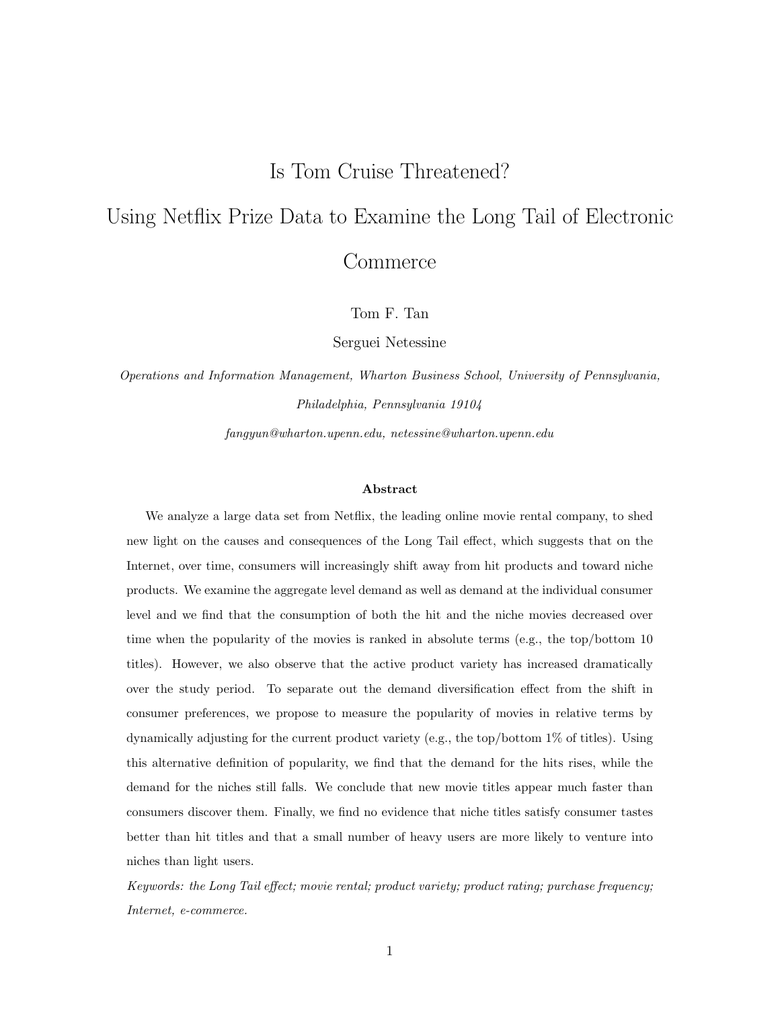## Is Tom Cruise Threatened?

# Using Netflix Prize Data to Examine the Long Tail of Electronic **Commerce**

Tom F. Tan

Serguei Netessine

Operations and Information Management, Wharton Business School, University of Pennsylvania, Philadelphia, Pennsylvania 19104

fangyun@wharton.upenn.edu, netessine@wharton.upenn.edu

#### Abstract

We analyze a large data set from Netflix, the leading online movie rental company, to shed new light on the causes and consequences of the Long Tail effect, which suggests that on the Internet, over time, consumers will increasingly shift away from hit products and toward niche products. We examine the aggregate level demand as well as demand at the individual consumer level and we find that the consumption of both the hit and the niche movies decreased over time when the popularity of the movies is ranked in absolute terms (e.g., the top/bottom 10 titles). However, we also observe that the active product variety has increased dramatically over the study period. To separate out the demand diversification effect from the shift in consumer preferences, we propose to measure the popularity of movies in relative terms by dynamically adjusting for the current product variety (e.g., the top/bottom 1% of titles). Using this alternative definition of popularity, we find that the demand for the hits rises, while the demand for the niches still falls. We conclude that new movie titles appear much faster than consumers discover them. Finally, we find no evidence that niche titles satisfy consumer tastes better than hit titles and that a small number of heavy users are more likely to venture into niches than light users.

Keywords: the Long Tail effect; movie rental; product variety; product rating; purchase frequency; Internet, e-commerce.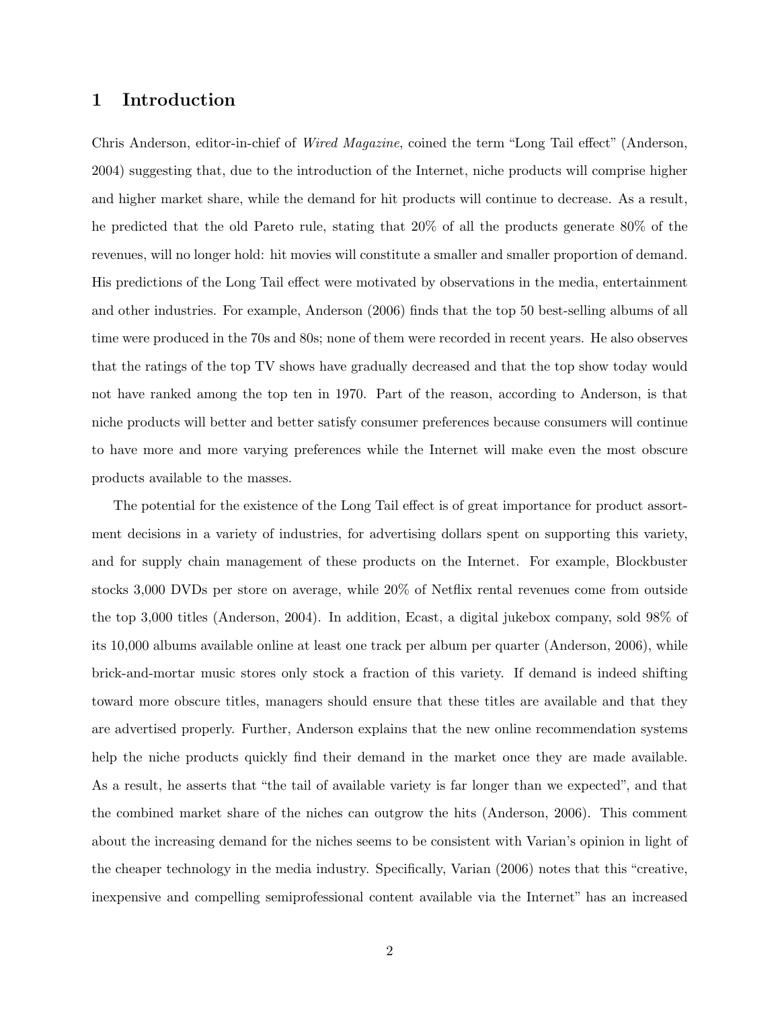## 1 Introduction

Chris Anderson, editor-in-chief of Wired Magazine, coined the term "Long Tail effect" (Anderson, 2004) suggesting that, due to the introduction of the Internet, niche products will comprise higher and higher market share, while the demand for hit products will continue to decrease. As a result, he predicted that the old Pareto rule, stating that 20% of all the products generate 80% of the revenues, will no longer hold: hit movies will constitute a smaller and smaller proportion of demand. His predictions of the Long Tail effect were motivated by observations in the media, entertainment and other industries. For example, Anderson (2006) finds that the top 50 best-selling albums of all time were produced in the 70s and 80s; none of them were recorded in recent years. He also observes that the ratings of the top TV shows have gradually decreased and that the top show today would not have ranked among the top ten in 1970. Part of the reason, according to Anderson, is that niche products will better and better satisfy consumer preferences because consumers will continue to have more and more varying preferences while the Internet will make even the most obscure products available to the masses.

The potential for the existence of the Long Tail effect is of great importance for product assortment decisions in a variety of industries, for advertising dollars spent on supporting this variety, and for supply chain management of these products on the Internet. For example, Blockbuster stocks 3,000 DVDs per store on average, while 20% of Netflix rental revenues come from outside the top 3,000 titles (Anderson, 2004). In addition, Ecast, a digital jukebox company, sold 98% of its 10,000 albums available online at least one track per album per quarter (Anderson, 2006), while brick-and-mortar music stores only stock a fraction of this variety. If demand is indeed shifting toward more obscure titles, managers should ensure that these titles are available and that they are advertised properly. Further, Anderson explains that the new online recommendation systems help the niche products quickly find their demand in the market once they are made available. As a result, he asserts that "the tail of available variety is far longer than we expected", and that the combined market share of the niches can outgrow the hits (Anderson, 2006). This comment about the increasing demand for the niches seems to be consistent with Varian's opinion in light of the cheaper technology in the media industry. Specifically, Varian (2006) notes that this "creative, inexpensive and compelling semiprofessional content available via the Internet" has an increased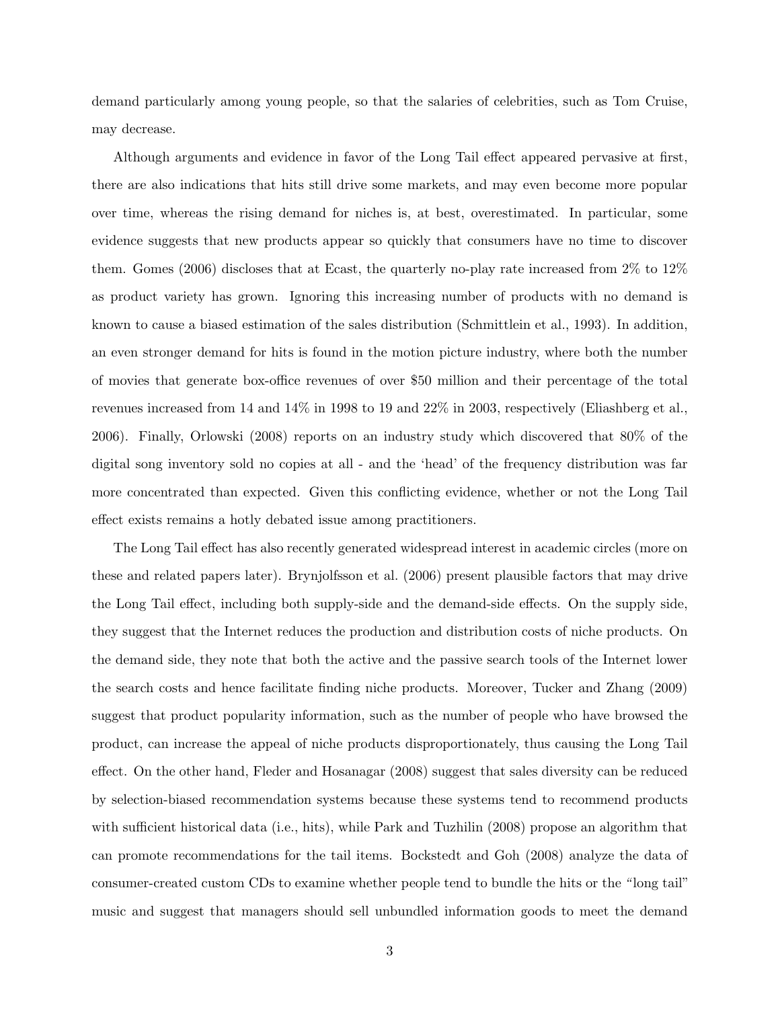demand particularly among young people, so that the salaries of celebrities, such as Tom Cruise, may decrease.

Although arguments and evidence in favor of the Long Tail effect appeared pervasive at first, there are also indications that hits still drive some markets, and may even become more popular over time, whereas the rising demand for niches is, at best, overestimated. In particular, some evidence suggests that new products appear so quickly that consumers have no time to discover them. Gomes (2006) discloses that at Ecast, the quarterly no-play rate increased from 2% to 12% as product variety has grown. Ignoring this increasing number of products with no demand is known to cause a biased estimation of the sales distribution (Schmittlein et al., 1993). In addition, an even stronger demand for hits is found in the motion picture industry, where both the number of movies that generate box-office revenues of over \$50 million and their percentage of the total revenues increased from 14 and 14% in 1998 to 19 and 22% in 2003, respectively (Eliashberg et al., 2006). Finally, Orlowski (2008) reports on an industry study which discovered that 80% of the digital song inventory sold no copies at all - and the 'head' of the frequency distribution was far more concentrated than expected. Given this conflicting evidence, whether or not the Long Tail effect exists remains a hotly debated issue among practitioners.

The Long Tail effect has also recently generated widespread interest in academic circles (more on these and related papers later). Brynjolfsson et al. (2006) present plausible factors that may drive the Long Tail effect, including both supply-side and the demand-side effects. On the supply side, they suggest that the Internet reduces the production and distribution costs of niche products. On the demand side, they note that both the active and the passive search tools of the Internet lower the search costs and hence facilitate finding niche products. Moreover, Tucker and Zhang (2009) suggest that product popularity information, such as the number of people who have browsed the product, can increase the appeal of niche products disproportionately, thus causing the Long Tail effect. On the other hand, Fleder and Hosanagar (2008) suggest that sales diversity can be reduced by selection-biased recommendation systems because these systems tend to recommend products with sufficient historical data (i.e., hits), while Park and Tuzhilin (2008) propose an algorithm that can promote recommendations for the tail items. Bockstedt and Goh (2008) analyze the data of consumer-created custom CDs to examine whether people tend to bundle the hits or the " long tail" music and suggest that managers should sell unbundled information goods to meet the demand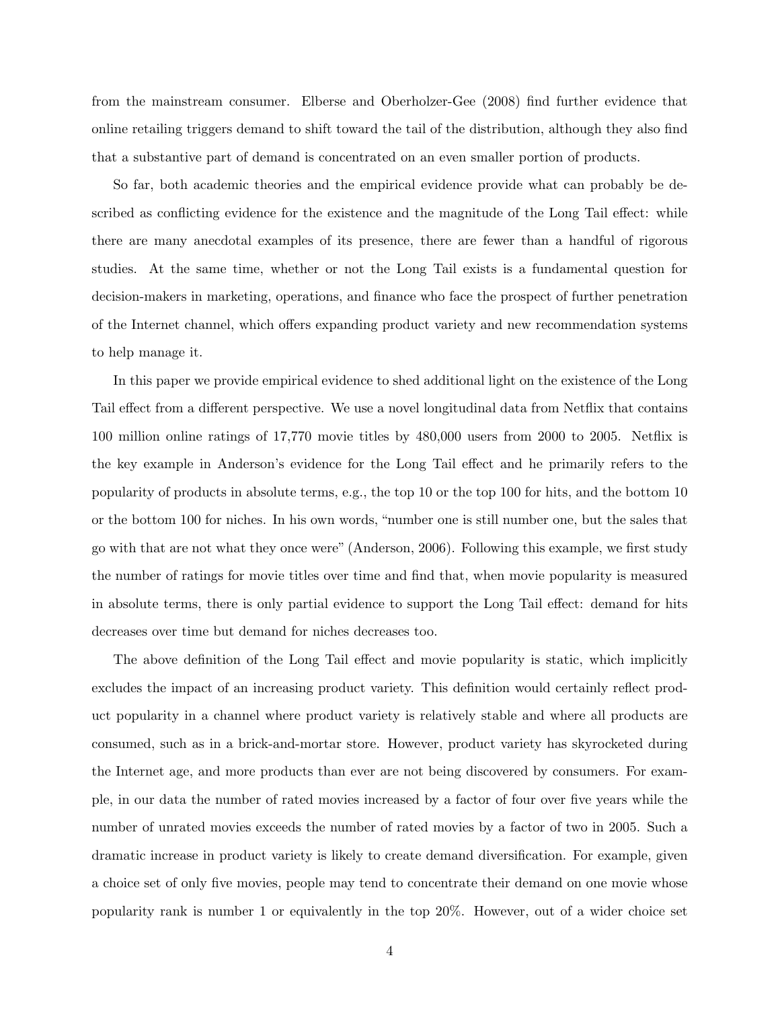from the mainstream consumer. Elberse and Oberholzer-Gee (2008) find further evidence that online retailing triggers demand to shift toward the tail of the distribution, although they also find that a substantive part of demand is concentrated on an even smaller portion of products.

So far, both academic theories and the empirical evidence provide what can probably be described as conflicting evidence for the existence and the magnitude of the Long Tail effect: while there are many anecdotal examples of its presence, there are fewer than a handful of rigorous studies. At the same time, whether or not the Long Tail exists is a fundamental question for decision-makers in marketing, operations, and finance who face the prospect of further penetration of the Internet channel, which offers expanding product variety and new recommendation systems to help manage it.

In this paper we provide empirical evidence to shed additional light on the existence of the Long Tail effect from a different perspective. We use a novel longitudinal data from Netflix that contains 100 million online ratings of 17,770 movie titles by 480,000 users from 2000 to 2005. Netflix is the key example in Anderson's evidence for the Long Tail effect and he primarily refers to the popularity of products in absolute terms, e.g., the top 10 or the top 100 for hits, and the bottom 10 or the bottom 100 for niches. In his own words, "number one is still number one, but the sales that go with that are not what they once were" (Anderson, 2006). Following this example, we first study the number of ratings for movie titles over time and find that, when movie popularity is measured in absolute terms, there is only partial evidence to support the Long Tail effect: demand for hits decreases over time but demand for niches decreases too.

The above definition of the Long Tail effect and movie popularity is static, which implicitly excludes the impact of an increasing product variety. This definition would certainly reflect product popularity in a channel where product variety is relatively stable and where all products are consumed, such as in a brick-and-mortar store. However, product variety has skyrocketed during the Internet age, and more products than ever are not being discovered by consumers. For example, in our data the number of rated movies increased by a factor of four over five years while the number of unrated movies exceeds the number of rated movies by a factor of two in 2005. Such a dramatic increase in product variety is likely to create demand diversification. For example, given a choice set of only five movies, people may tend to concentrate their demand on one movie whose popularity rank is number 1 or equivalently in the top 20%. However, out of a wider choice set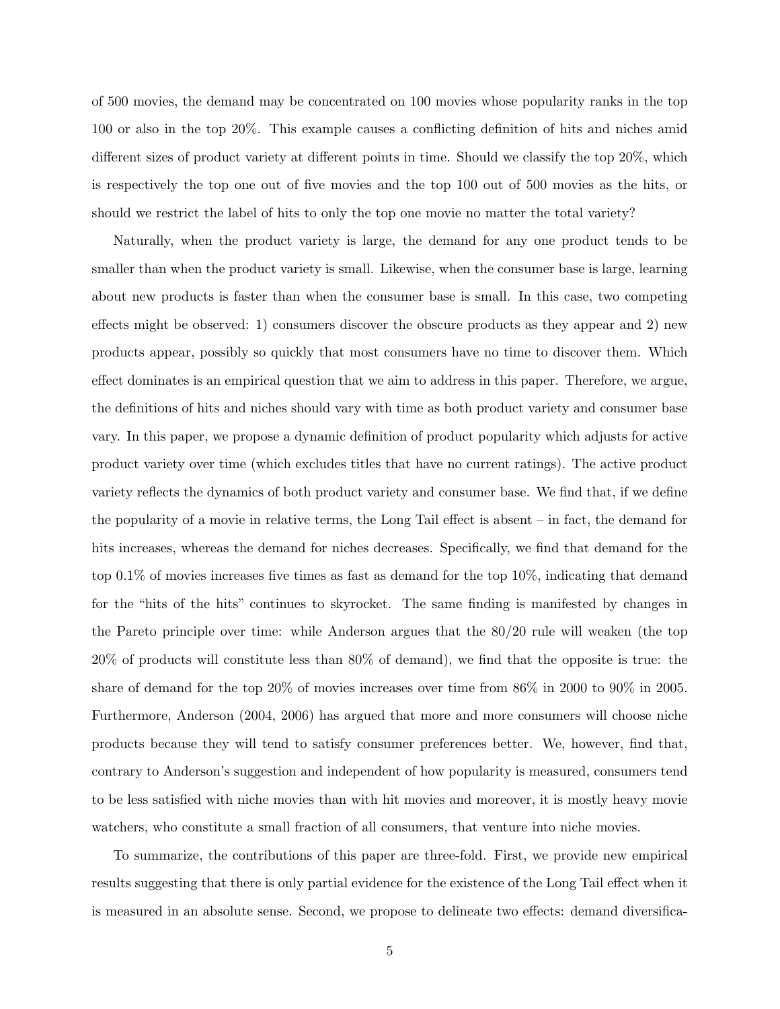of 500 movies, the demand may be concentrated on 100 movies whose popularity ranks in the top 100 or also in the top 20%. This example causes a conflicting definition of hits and niches amid different sizes of product variety at different points in time. Should we classify the top 20%, which is respectively the top one out of five movies and the top 100 out of 500 movies as the hits, or should we restrict the label of hits to only the top one movie no matter the total variety?

Naturally, when the product variety is large, the demand for any one product tends to be smaller than when the product variety is small. Likewise, when the consumer base is large, learning about new products is faster than when the consumer base is small. In this case, two competing effects might be observed: 1) consumers discover the obscure products as they appear and 2) new products appear, possibly so quickly that most consumers have no time to discover them. Which effect dominates is an empirical question that we aim to address in this paper. Therefore, we argue, the definitions of hits and niches should vary with time as both product variety and consumer base vary. In this paper, we propose a dynamic definition of product popularity which adjusts for active product variety over time (which excludes titles that have no current ratings). The active product variety reflects the dynamics of both product variety and consumer base. We find that, if we define the popularity of a movie in relative terms, the Long Tail effect is absent – in fact, the demand for hits increases, whereas the demand for niches decreases. Specifically, we find that demand for the top 0.1% of movies increases five times as fast as demand for the top 10%, indicating that demand for the "hits of the hits" continues to skyrocket. The same finding is manifested by changes in the Pareto principle over time: while Anderson argues that the 80/20 rule will weaken (the top 20% of products will constitute less than 80% of demand), we find that the opposite is true: the share of demand for the top 20% of movies increases over time from 86% in 2000 to 90% in 2005. Furthermore, Anderson (2004, 2006) has argued that more and more consumers will choose niche products because they will tend to satisfy consumer preferences better. We, however, find that, contrary to Anderson's suggestion and independent of how popularity is measured, consumers tend to be less satisfied with niche movies than with hit movies and moreover, it is mostly heavy movie watchers, who constitute a small fraction of all consumers, that venture into niche movies.

To summarize, the contributions of this paper are three-fold. First, we provide new empirical results suggesting that there is only partial evidence for the existence of the Long Tail effect when it is measured in an absolute sense. Second, we propose to delineate two effects: demand diversifica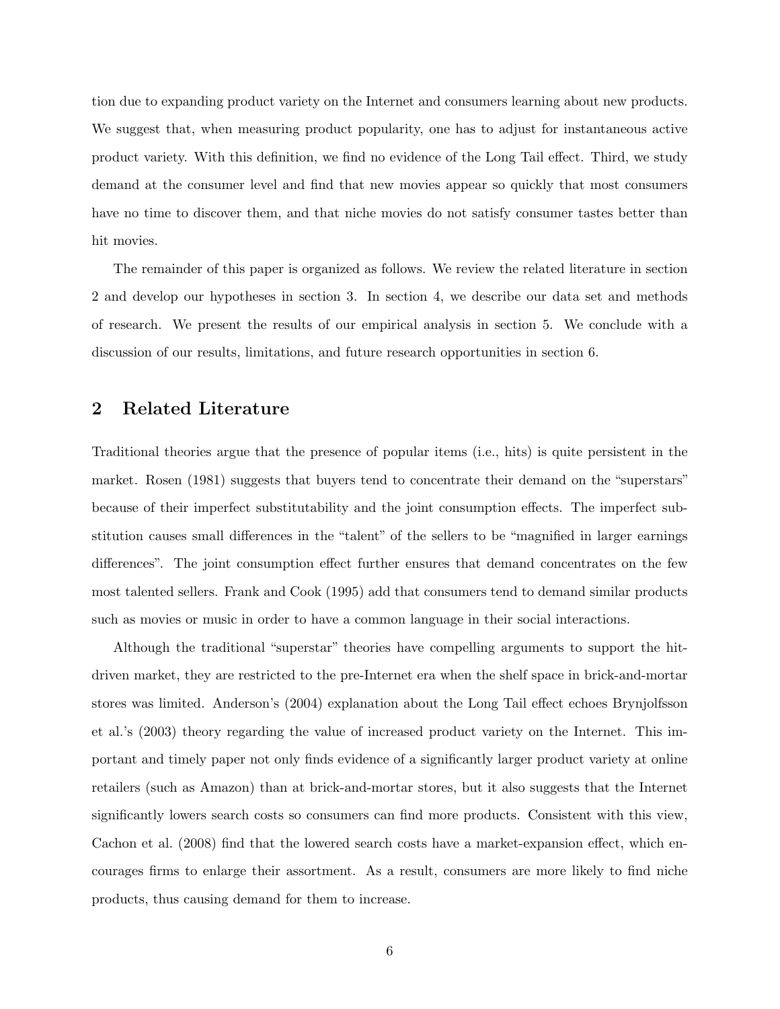tion due to expanding product variety on the Internet and consumers learning about new products. We suggest that, when measuring product popularity, one has to adjust for instantaneous active product variety. With this definition, we find no evidence of the Long Tail effect. Third, we study demand at the consumer level and find that new movies appear so quickly that most consumers have no time to discover them, and that niche movies do not satisfy consumer tastes better than hit movies.

The remainder of this paper is organized as follows. We review the related literature in section 2 and develop our hypotheses in section 3. In section 4, we describe our data set and methods of research. We present the results of our empirical analysis in section 5. We conclude with a discussion of our results, limitations, and future research opportunities in section 6.

## 2 Related Literature

Traditional theories argue that the presence of popular items (i.e., hits) is quite persistent in the market. Rosen (1981) suggests that buyers tend to concentrate their demand on the "superstars" because of their imperfect substitutability and the joint consumption effects. The imperfect substitution causes small differences in the "talent" of the sellers to be "magnified in larger earnings differences". The joint consumption effect further ensures that demand concentrates on the few most talented sellers. Frank and Cook (1995) add that consumers tend to demand similar products such as movies or music in order to have a common language in their social interactions.

Although the traditional "superstar" theories have compelling arguments to support the hitdriven market, they are restricted to the pre-Internet era when the shelf space in brick-and-mortar stores was limited. Anderson's (2004) explanation about the Long Tail effect echoes Brynjolfsson et al.'s (2003) theory regarding the value of increased product variety on the Internet. This important and timely paper not only finds evidence of a significantly larger product variety at online retailers (such as Amazon) than at brick-and-mortar stores, but it also suggests that the Internet significantly lowers search costs so consumers can find more products. Consistent with this view, Cachon et al. (2008) find that the lowered search costs have a market-expansion effect, which encourages firms to enlarge their assortment. As a result, consumers are more likely to find niche products, thus causing demand for them to increase.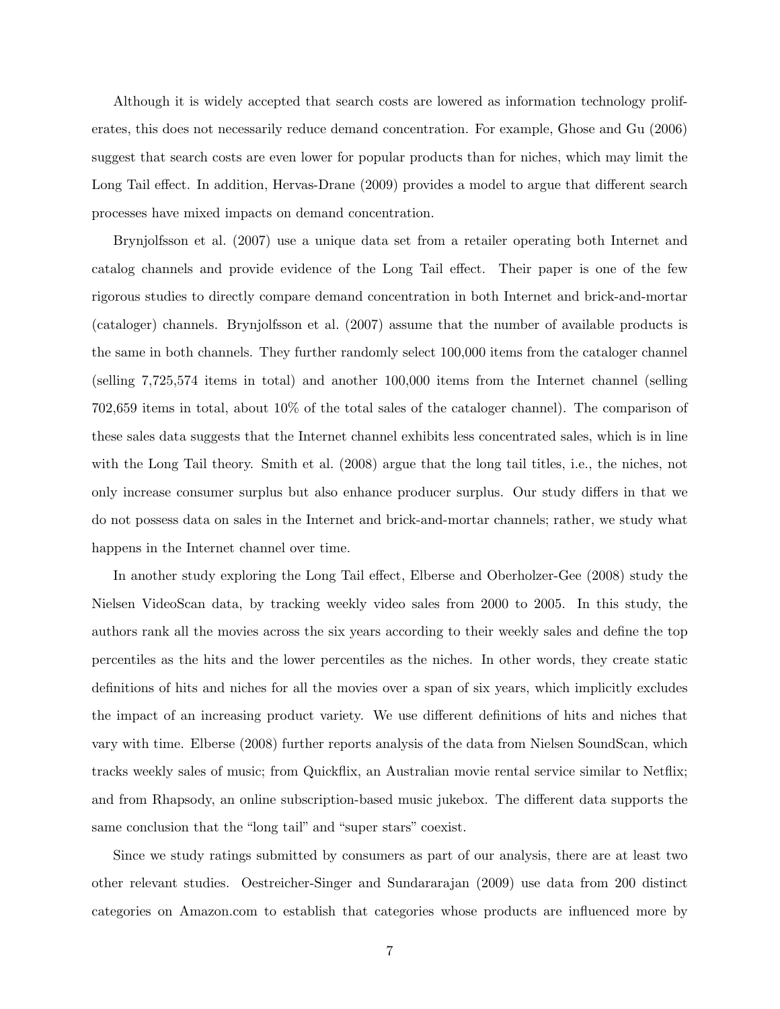Although it is widely accepted that search costs are lowered as information technology proliferates, this does not necessarily reduce demand concentration. For example, Ghose and Gu (2006) suggest that search costs are even lower for popular products than for niches, which may limit the Long Tail effect. In addition, Hervas-Drane (2009) provides a model to argue that different search processes have mixed impacts on demand concentration.

Brynjolfsson et al. (2007) use a unique data set from a retailer operating both Internet and catalog channels and provide evidence of the Long Tail effect. Their paper is one of the few rigorous studies to directly compare demand concentration in both Internet and brick-and-mortar (cataloger) channels. Brynjolfsson et al. (2007) assume that the number of available products is the same in both channels. They further randomly select 100,000 items from the cataloger channel (selling 7,725,574 items in total) and another 100,000 items from the Internet channel (selling 702,659 items in total, about 10% of the total sales of the cataloger channel). The comparison of these sales data suggests that the Internet channel exhibits less concentrated sales, which is in line with the Long Tail theory. Smith et al. (2008) argue that the long tail titles, i.e., the niches, not only increase consumer surplus but also enhance producer surplus. Our study differs in that we do not possess data on sales in the Internet and brick-and-mortar channels; rather, we study what happens in the Internet channel over time.

In another study exploring the Long Tail effect, Elberse and Oberholzer-Gee (2008) study the Nielsen VideoScan data, by tracking weekly video sales from 2000 to 2005. In this study, the authors rank all the movies across the six years according to their weekly sales and define the top percentiles as the hits and the lower percentiles as the niches. In other words, they create static definitions of hits and niches for all the movies over a span of six years, which implicitly excludes the impact of an increasing product variety. We use different definitions of hits and niches that vary with time. Elberse (2008) further reports analysis of the data from Nielsen SoundScan, which tracks weekly sales of music; from Quickflix, an Australian movie rental service similar to Netflix; and from Rhapsody, an online subscription-based music jukebox. The different data supports the same conclusion that the "long tail" and "super stars" coexist.

Since we study ratings submitted by consumers as part of our analysis, there are at least two other relevant studies. Oestreicher-Singer and Sundararajan (2009) use data from 200 distinct categories on Amazon.com to establish that categories whose products are influenced more by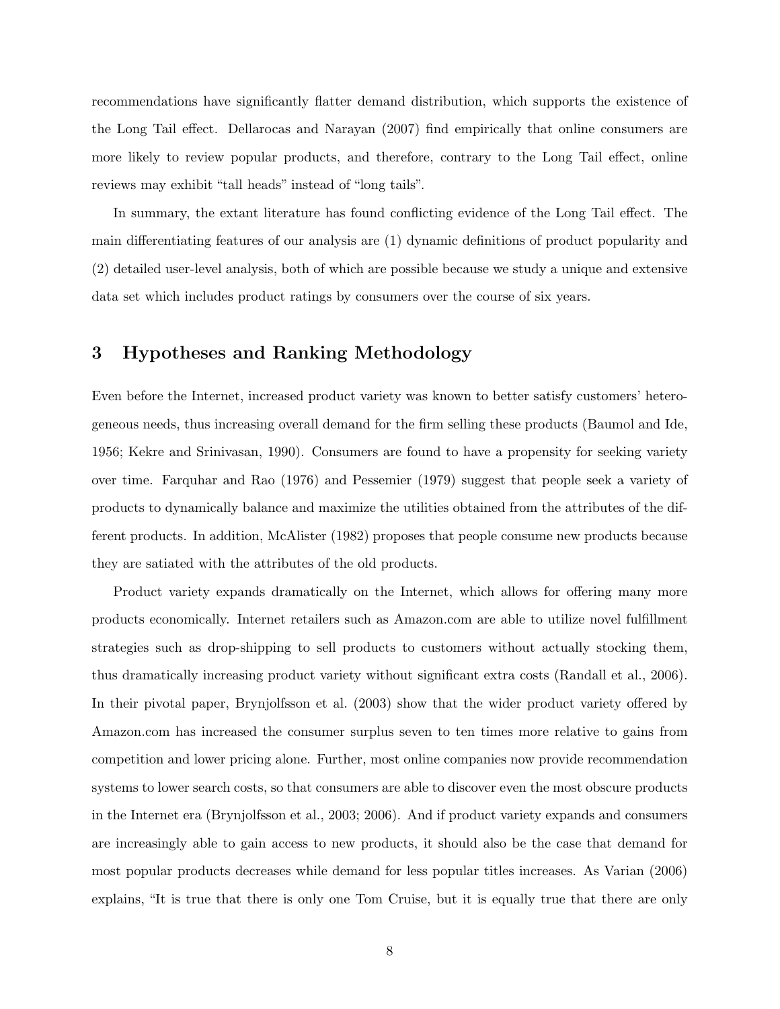recommendations have significantly flatter demand distribution, which supports the existence of the Long Tail effect. Dellarocas and Narayan (2007) find empirically that online consumers are more likely to review popular products, and therefore, contrary to the Long Tail effect, online reviews may exhibit "tall heads" instead of "long tails".

In summary, the extant literature has found conflicting evidence of the Long Tail effect. The main differentiating features of our analysis are (1) dynamic definitions of product popularity and (2) detailed user-level analysis, both of which are possible because we study a unique and extensive data set which includes product ratings by consumers over the course of six years.

## 3 Hypotheses and Ranking Methodology

Even before the Internet, increased product variety was known to better satisfy customers' heterogeneous needs, thus increasing overall demand for the firm selling these products (Baumol and Ide, 1956; Kekre and Srinivasan, 1990). Consumers are found to have a propensity for seeking variety over time. Farquhar and Rao (1976) and Pessemier (1979) suggest that people seek a variety of products to dynamically balance and maximize the utilities obtained from the attributes of the different products. In addition, McAlister (1982) proposes that people consume new products because they are satiated with the attributes of the old products.

Product variety expands dramatically on the Internet, which allows for offering many more products economically. Internet retailers such as Amazon.com are able to utilize novel fulfillment strategies such as drop-shipping to sell products to customers without actually stocking them, thus dramatically increasing product variety without significant extra costs (Randall et al., 2006). In their pivotal paper, Brynjolfsson et al. (2003) show that the wider product variety offered by Amazon.com has increased the consumer surplus seven to ten times more relative to gains from competition and lower pricing alone. Further, most online companies now provide recommendation systems to lower search costs, so that consumers are able to discover even the most obscure products in the Internet era (Brynjolfsson et al., 2003; 2006). And if product variety expands and consumers are increasingly able to gain access to new products, it should also be the case that demand for most popular products decreases while demand for less popular titles increases. As Varian (2006) explains, "It is true that there is only one Tom Cruise, but it is equally true that there are only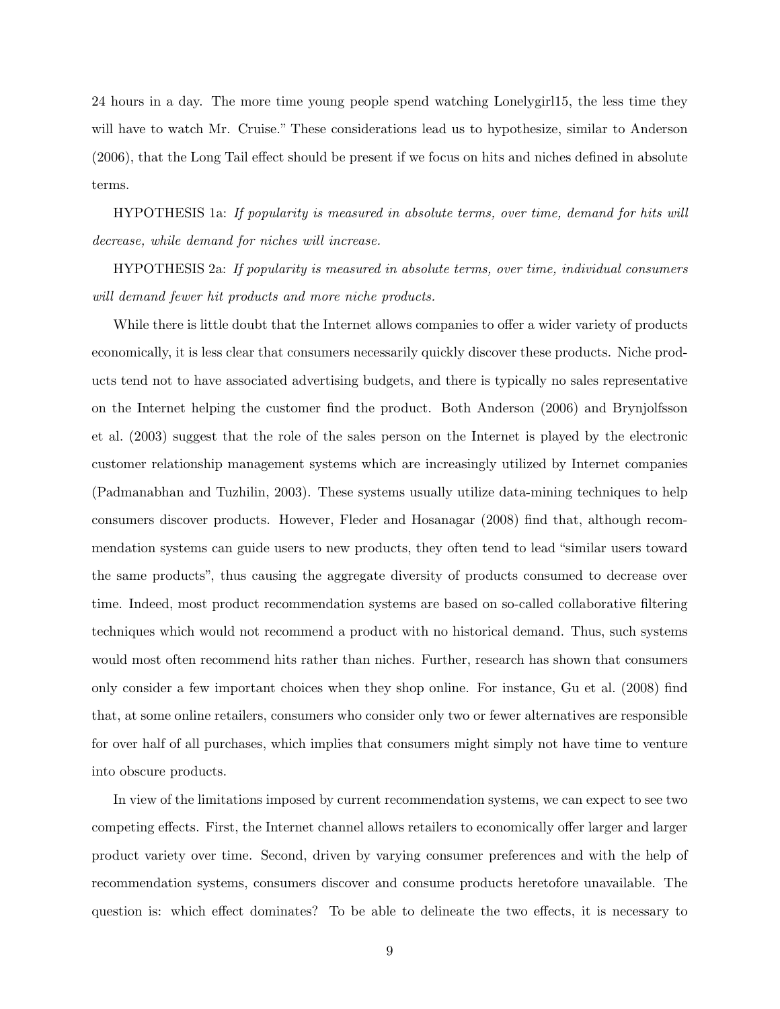24 hours in a day. The more time young people spend watching Lonelygirl15, the less time they will have to watch Mr. Cruise." These considerations lead us to hypothesize, similar to Anderson (2006), that the Long Tail effect should be present if we focus on hits and niches defined in absolute terms.

HYPOTHESIS 1a: If popularity is measured in absolute terms, over time, demand for hits will decrease, while demand for niches will increase.

HYPOTHESIS 2a: If popularity is measured in absolute terms, over time, individual consumers will demand fewer hit products and more niche products.

While there is little doubt that the Internet allows companies to offer a wider variety of products economically, it is less clear that consumers necessarily quickly discover these products. Niche products tend not to have associated advertising budgets, and there is typically no sales representative on the Internet helping the customer find the product. Both Anderson (2006) and Brynjolfsson et al. (2003) suggest that the role of the sales person on the Internet is played by the electronic customer relationship management systems which are increasingly utilized by Internet companies (Padmanabhan and Tuzhilin, 2003). These systems usually utilize data-mining techniques to help consumers discover products. However, Fleder and Hosanagar (2008) find that, although recommendation systems can guide users to new products, they often tend to lead "similar users toward the same products", thus causing the aggregate diversity of products consumed to decrease over time. Indeed, most product recommendation systems are based on so-called collaborative filtering techniques which would not recommend a product with no historical demand. Thus, such systems would most often recommend hits rather than niches. Further, research has shown that consumers only consider a few important choices when they shop online. For instance, Gu et al. (2008) find that, at some online retailers, consumers who consider only two or fewer alternatives are responsible for over half of all purchases, which implies that consumers might simply not have time to venture into obscure products.

In view of the limitations imposed by current recommendation systems, we can expect to see two competing effects. First, the Internet channel allows retailers to economically offer larger and larger product variety over time. Second, driven by varying consumer preferences and with the help of recommendation systems, consumers discover and consume products heretofore unavailable. The question is: which effect dominates? To be able to delineate the two effects, it is necessary to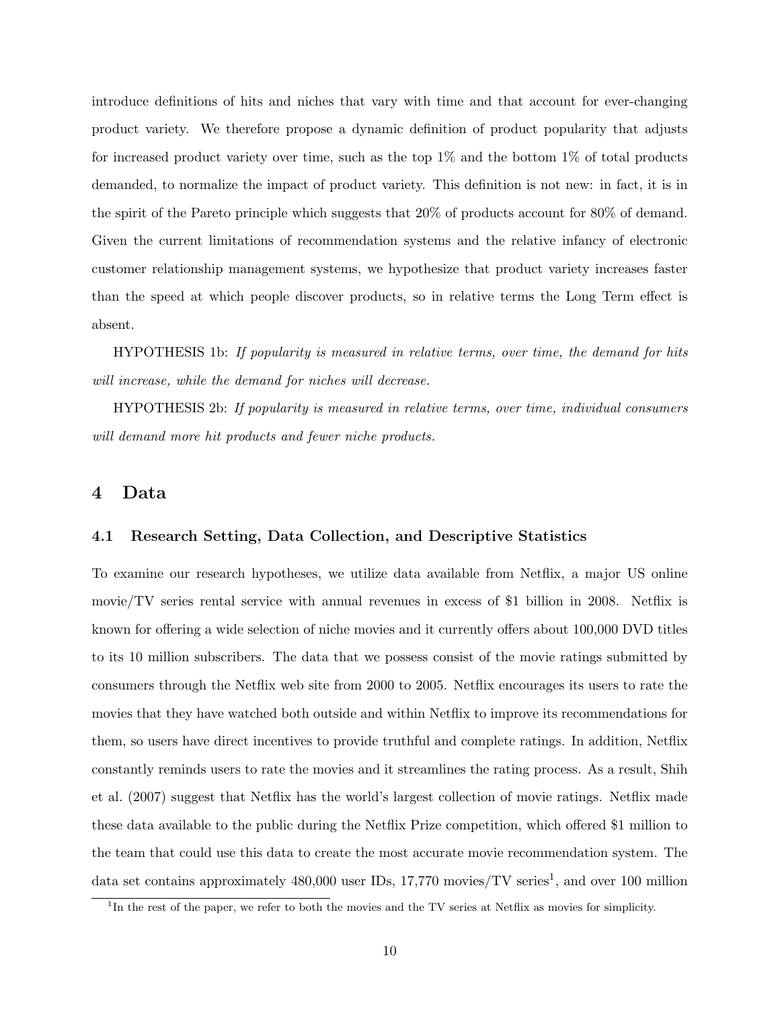introduce definitions of hits and niches that vary with time and that account for ever-changing product variety. We therefore propose a dynamic definition of product popularity that adjusts for increased product variety over time, such as the top 1% and the bottom 1% of total products demanded, to normalize the impact of product variety. This definition is not new: in fact, it is in the spirit of the Pareto principle which suggests that 20% of products account for 80% of demand. Given the current limitations of recommendation systems and the relative infancy of electronic customer relationship management systems, we hypothesize that product variety increases faster than the speed at which people discover products, so in relative terms the Long Term effect is absent.

HYPOTHESIS 1b: If popularity is measured in relative terms, over time, the demand for hits will increase, while the demand for niches will decrease.

HYPOTHESIS 2b: If popularity is measured in relative terms, over time, individual consumers will demand more hit products and fewer niche products.

### 4 Data

#### 4.1 Research Setting, Data Collection, and Descriptive Statistics

To examine our research hypotheses, we utilize data available from Netflix, a major US online movie/TV series rental service with annual revenues in excess of \$1 billion in 2008. Netflix is known for offering a wide selection of niche movies and it currently offers about 100,000 DVD titles to its 10 million subscribers. The data that we possess consist of the movie ratings submitted by consumers through the Netflix web site from 2000 to 2005. Netflix encourages its users to rate the movies that they have watched both outside and within Netflix to improve its recommendations for them, so users have direct incentives to provide truthful and complete ratings. In addition, Netflix constantly reminds users to rate the movies and it streamlines the rating process. As a result, Shih et al. (2007) suggest that Netflix has the world's largest collection of movie ratings. Netflix made these data available to the public during the Netflix Prize competition, which offered \$1 million to the team that could use this data to create the most accurate movie recommendation system. The data set contains approximately 480,000 user IDs, 17,770 movies/TV series<sup>1</sup>, and over 100 million

<sup>&</sup>lt;sup>1</sup>In the rest of the paper, we refer to both the movies and the TV series at Netflix as movies for simplicity.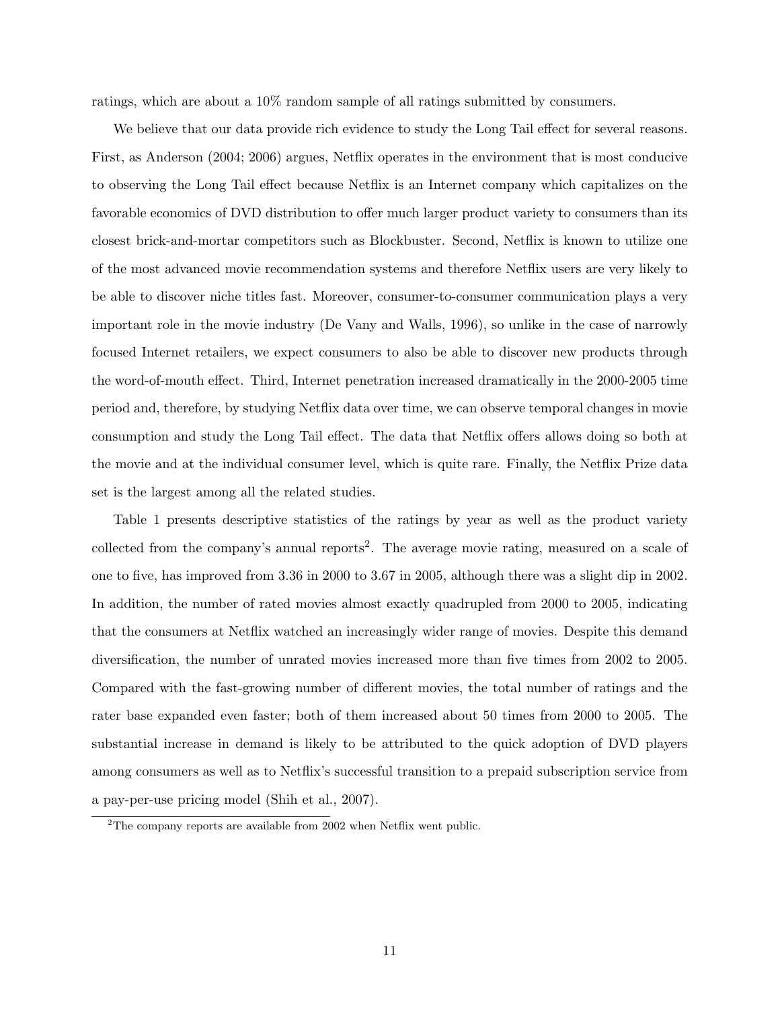ratings, which are about a 10% random sample of all ratings submitted by consumers.

We believe that our data provide rich evidence to study the Long Tail effect for several reasons. First, as Anderson (2004; 2006) argues, Netflix operates in the environment that is most conducive to observing the Long Tail effect because Netflix is an Internet company which capitalizes on the favorable economics of DVD distribution to offer much larger product variety to consumers than its closest brick-and-mortar competitors such as Blockbuster. Second, Netflix is known to utilize one of the most advanced movie recommendation systems and therefore Netflix users are very likely to be able to discover niche titles fast. Moreover, consumer-to-consumer communication plays a very important role in the movie industry (De Vany and Walls, 1996), so unlike in the case of narrowly focused Internet retailers, we expect consumers to also be able to discover new products through the word-of-mouth effect. Third, Internet penetration increased dramatically in the 2000-2005 time period and, therefore, by studying Netflix data over time, we can observe temporal changes in movie consumption and study the Long Tail effect. The data that Netflix offers allows doing so both at the movie and at the individual consumer level, which is quite rare. Finally, the Netflix Prize data set is the largest among all the related studies.

Table 1 presents descriptive statistics of the ratings by year as well as the product variety collected from the company's annual reports<sup>2</sup>. The average movie rating, measured on a scale of one to five, has improved from 3.36 in 2000 to 3.67 in 2005, although there was a slight dip in 2002. In addition, the number of rated movies almost exactly quadrupled from 2000 to 2005, indicating that the consumers at Netflix watched an increasingly wider range of movies. Despite this demand diversification, the number of unrated movies increased more than five times from 2002 to 2005. Compared with the fast-growing number of different movies, the total number of ratings and the rater base expanded even faster; both of them increased about 50 times from 2000 to 2005. The substantial increase in demand is likely to be attributed to the quick adoption of DVD players among consumers as well as to Netflix's successful transition to a prepaid subscription service from a pay-per-use pricing model (Shih et al., 2007).

 $\rm{^2The}$  company reports are available from 2002 when Netflix went public.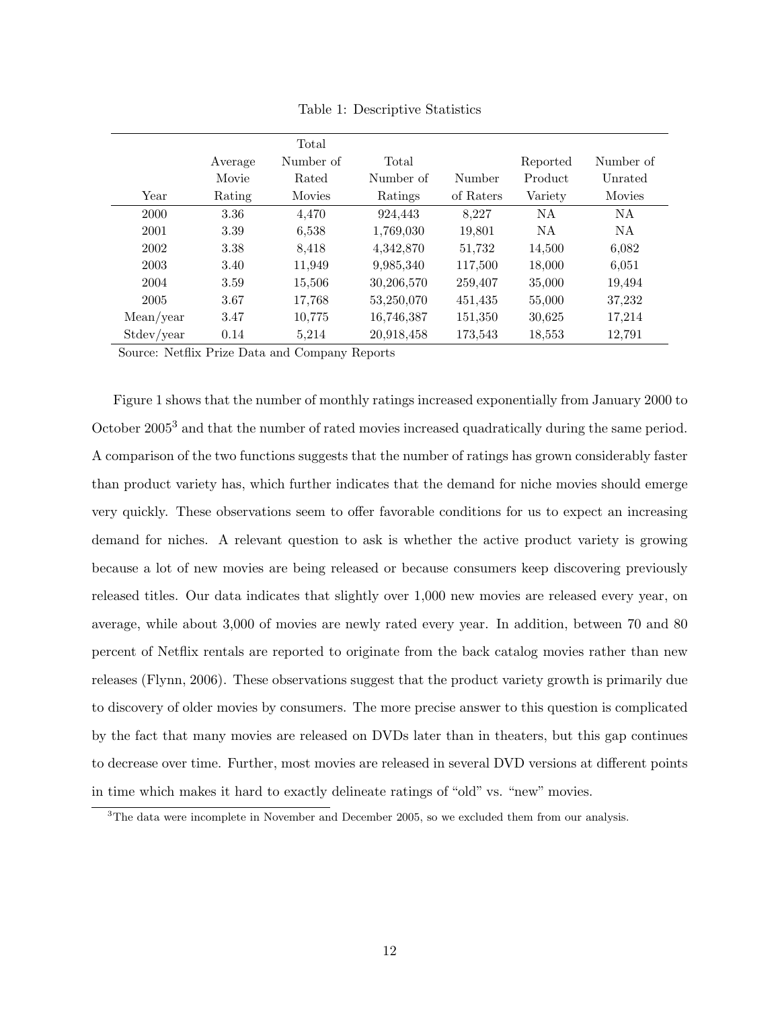|            |         | Total         |            |           |          |           |
|------------|---------|---------------|------------|-----------|----------|-----------|
|            | Average | Number of     | Total      |           | Reported | Number of |
|            | Movie   | Rated         | Number of  | Number    | Product  | Unrated   |
| Year       | Rating  | <b>Movies</b> | Ratings    | of Raters | Variety  | Movies    |
| 2000       | 3.36    | 4,470         | 924.443    | 8.227     | NA       | NA        |
| 2001       | 3.39    | 6,538         | 1,769,030  | 19,801    | NA.      | NA.       |
| 2002       | 3.38    | 8,418         | 4,342,870  | 51,732    | 14,500   | 6.082     |
| 2003       | 3.40    | 11,949        | 9,985,340  | 117,500   | 18,000   | 6,051     |
| 2004       | 3.59    | 15,506        | 30,206,570 | 259,407   | 35,000   | 19,494    |
| 2005       | 3.67    | 17,768        | 53,250,070 | 451,435   | 55,000   | 37,232    |
| Mean/year  | 3.47    | 10,775        | 16,746,387 | 151,350   | 30,625   | 17,214    |
| Stdev/year | 0.14    | 5,214         | 20,918,458 | 173,543   | 18,553   | 12,791    |

Table 1: Descriptive Statistics

Source: Netflix Prize Data and Company Reports

Figure 1 shows that the number of monthly ratings increased exponentially from January 2000 to October 2005<sup>3</sup> and that the number of rated movies increased quadratically during the same period. A comparison of the two functions suggests that the number of ratings has grown considerably faster than product variety has, which further indicates that the demand for niche movies should emerge very quickly. These observations seem to offer favorable conditions for us to expect an increasing demand for niches. A relevant question to ask is whether the active product variety is growing because a lot of new movies are being released or because consumers keep discovering previously released titles. Our data indicates that slightly over 1,000 new movies are released every year, on average, while about 3,000 of movies are newly rated every year. In addition, between 70 and 80 percent of Netflix rentals are reported to originate from the back catalog movies rather than new releases (Flynn, 2006). These observations suggest that the product variety growth is primarily due to discovery of older movies by consumers. The more precise answer to this question is complicated by the fact that many movies are released on DVDs later than in theaters, but this gap continues to decrease over time. Further, most movies are released in several DVD versions at different points in time which makes it hard to exactly delineate ratings of "old" vs. "new" movies.

<sup>&</sup>lt;sup>3</sup>The data were incomplete in November and December 2005, so we excluded them from our analysis.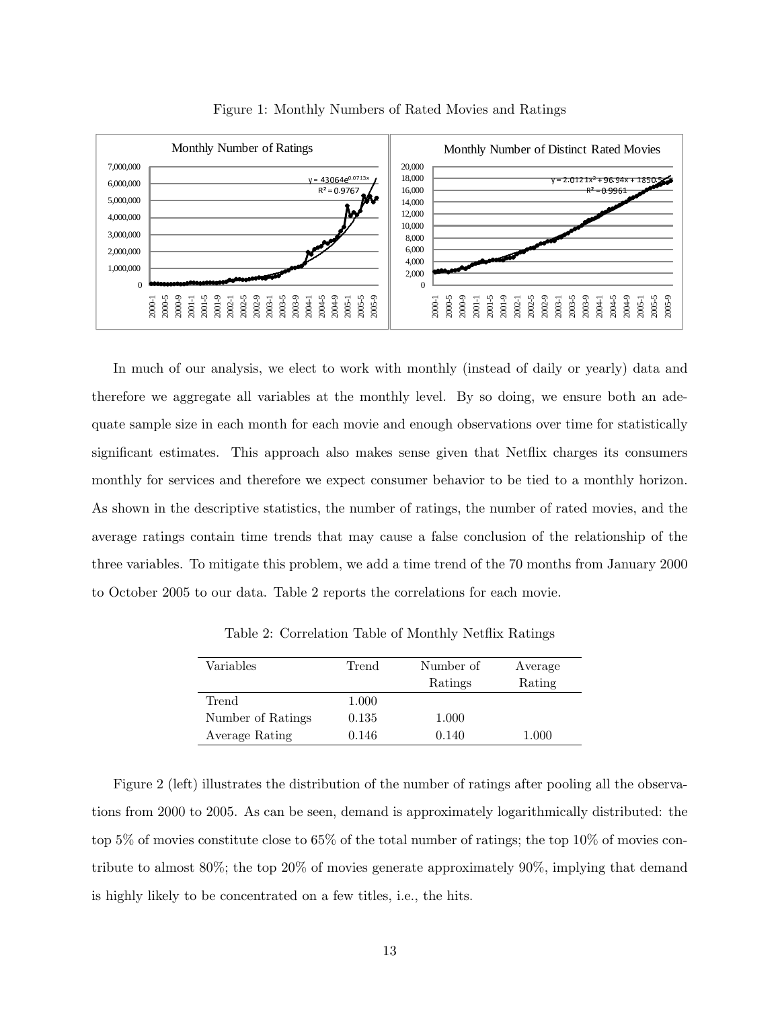

Figure 1: Monthly Numbers of Rated Movies and Ratings

In much of our analysis, we elect to work with monthly (instead of daily or yearly) data and therefore we aggregate all variables at the monthly level. By so doing, we ensure both an adequate sample size in each month for each movie and enough observations over time for statistically significant estimates. This approach also makes sense given that Netflix charges its consumers monthly for services and therefore we expect consumer behavior to be tied to a monthly horizon. As shown in the descriptive statistics, the number of ratings, the number of rated movies, and the average ratings contain time trends that may cause a false conclusion of the relationship of the three variables. To mitigate this problem, we add a time trend of the 70 months from January 2000 to October 2005 to our data. Table 2 reports the correlations for each movie.

| Variables         | Trend | Number of | Average |
|-------------------|-------|-----------|---------|
|                   |       | Ratings   | Rating  |
| Trend             | 1.000 |           |         |
| Number of Ratings | 0.135 | 1.000     |         |
| Average Rating    | 0.146 | 0.140     | 1.000   |

Table 2: Correlation Table of Monthly Netflix Ratings

Figure 2 (left) illustrates the distribution of the number of ratings after pooling all the observations from 2000 to 2005. As can be seen, demand is approximately logarithmically distributed: the top 5% of movies constitute close to 65% of the total number of ratings; the top 10% of movies contribute to almost 80%; the top 20% of movies generate approximately 90%, implying that demand is highly likely to be concentrated on a few titles, i.e., the hits.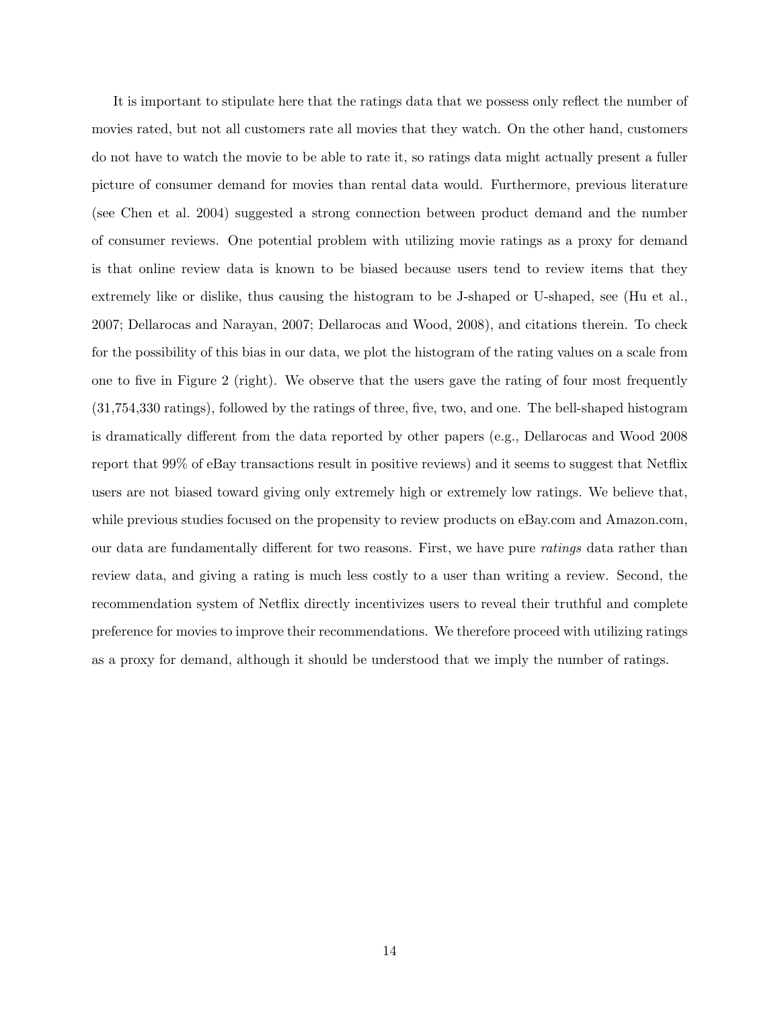It is important to stipulate here that the ratings data that we possess only reflect the number of movies rated, but not all customers rate all movies that they watch. On the other hand, customers do not have to watch the movie to be able to rate it, so ratings data might actually present a fuller picture of consumer demand for movies than rental data would. Furthermore, previous literature (see Chen et al. 2004) suggested a strong connection between product demand and the number of consumer reviews. One potential problem with utilizing movie ratings as a proxy for demand is that online review data is known to be biased because users tend to review items that they extremely like or dislike, thus causing the histogram to be J-shaped or U-shaped, see (Hu et al., 2007; Dellarocas and Narayan, 2007; Dellarocas and Wood, 2008), and citations therein. To check for the possibility of this bias in our data, we plot the histogram of the rating values on a scale from one to five in Figure 2 (right). We observe that the users gave the rating of four most frequently (31,754,330 ratings), followed by the ratings of three, five, two, and one. The bell-shaped histogram is dramatically different from the data reported by other papers (e.g., Dellarocas and Wood 2008 report that 99% of eBay transactions result in positive reviews) and it seems to suggest that Netflix users are not biased toward giving only extremely high or extremely low ratings. We believe that, while previous studies focused on the propensity to review products on eBay.com and Amazon.com, our data are fundamentally different for two reasons. First, we have pure ratings data rather than review data, and giving a rating is much less costly to a user than writing a review. Second, the recommendation system of Netflix directly incentivizes users to reveal their truthful and complete preference for movies to improve their recommendations. We therefore proceed with utilizing ratings as a proxy for demand, although it should be understood that we imply the number of ratings.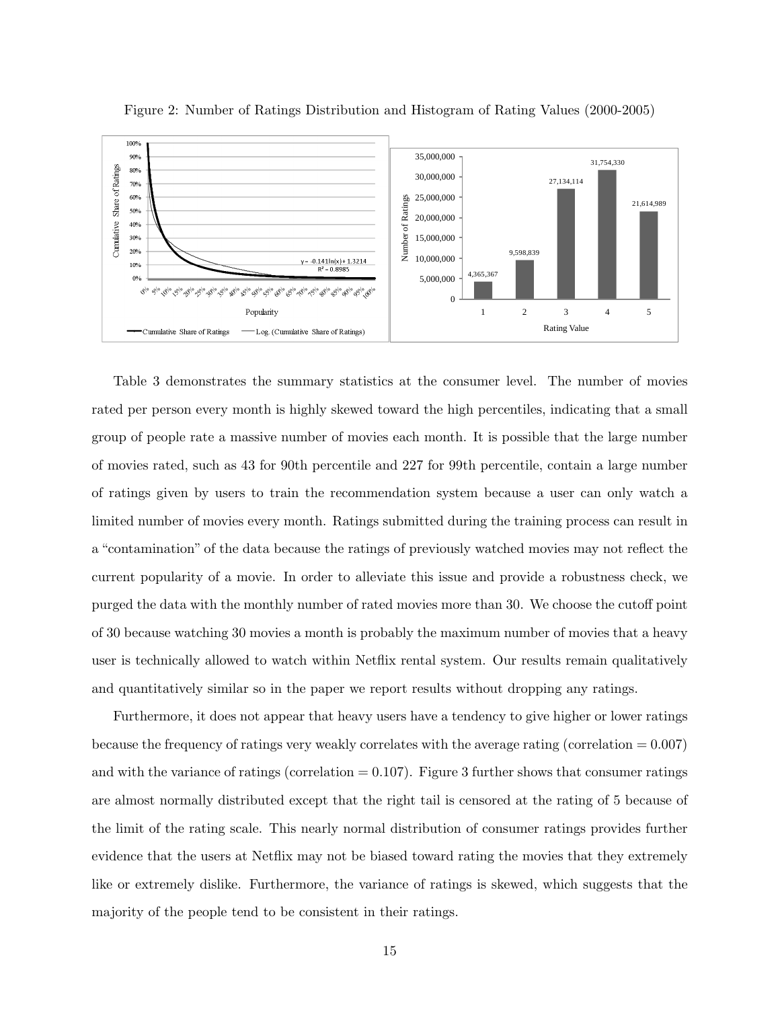

Figure 2: Number of Ratings Distribution and Histogram of Rating Values (2000-2005)

Table 3 demonstrates the summary statistics at the consumer level. The number of movies rated per person every month is highly skewed toward the high percentiles, indicating that a small group of people rate a massive number of movies each month. It is possible that the large number of movies rated, such as 43 for 90th percentile and 227 for 99th percentile, contain a large number of ratings given by users to train the recommendation system because a user can only watch a limited number of movies every month. Ratings submitted during the training process can result in a "contamination" of the data because the ratings of previously watched movies may not reflect the current popularity of a movie. In order to alleviate this issue and provide a robustness check, we purged the data with the monthly number of rated movies more than 30. We choose the cutoff point of 30 because watching 30 movies a month is probably the maximum number of movies that a heavy user is technically allowed to watch within Netflix rental system. Our results remain qualitatively and quantitatively similar so in the paper we report results without dropping any ratings.

Furthermore, it does not appear that heavy users have a tendency to give higher or lower ratings because the frequency of ratings very weakly correlates with the average rating (correlation  $= 0.007$ ) and with the variance of ratings (correlation  $= 0.107$ ). Figure 3 further shows that consumer ratings are almost normally distributed except that the right tail is censored at the rating of 5 because of the limit of the rating scale. This nearly normal distribution of consumer ratings provides further evidence that the users at Netflix may not be biased toward rating the movies that they extremely like or extremely dislike. Furthermore, the variance of ratings is skewed, which suggests that the majority of the people tend to be consistent in their ratings.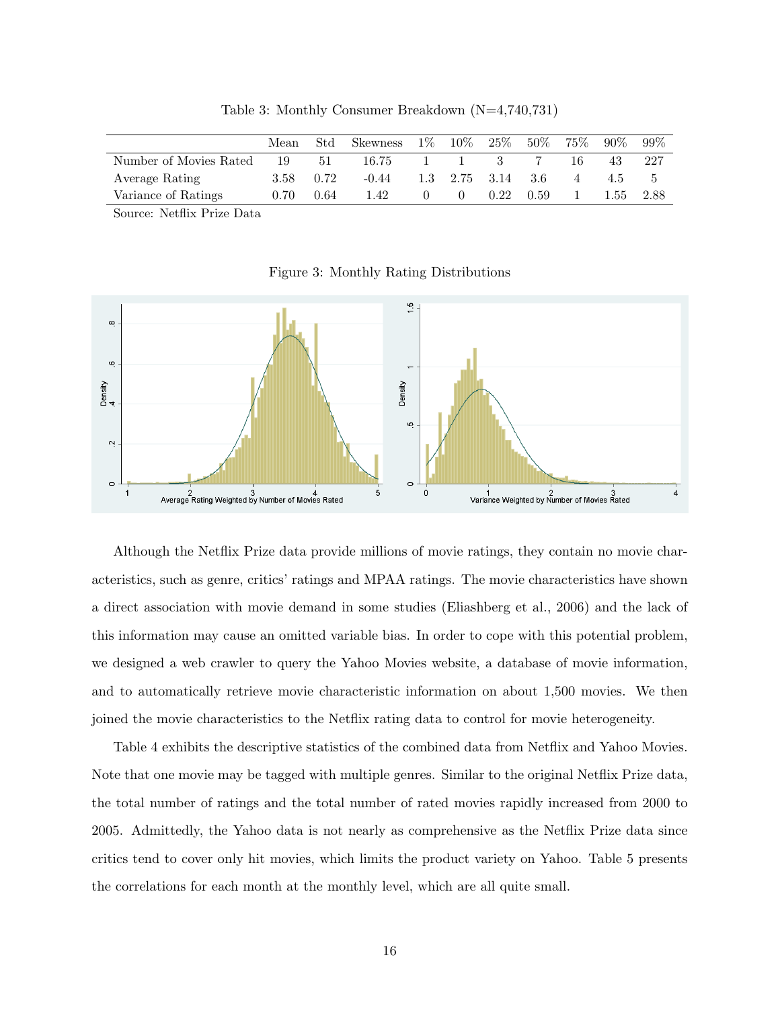|                                                                                                                                                                                                                                           | Mean | Std  | <b>Skewness</b> | $1\%$ | $10\%$       | 25\%                | $50\%$ | $75\%$ | $90\%$ | $99\%$ |
|-------------------------------------------------------------------------------------------------------------------------------------------------------------------------------------------------------------------------------------------|------|------|-----------------|-------|--------------|---------------------|--------|--------|--------|--------|
| Number of Movies Rated                                                                                                                                                                                                                    | 19   | 51   | 16.75           |       | $\mathbf{L}$ |                     |        | 16     | 43     | -227   |
| Average Rating                                                                                                                                                                                                                            | 3.58 | 0.72 | $-0.44$         |       |              | $1.3$ $2.75$ $3.14$ | 3.6    | 4      | 4.5    |        |
| Variance of Ratings                                                                                                                                                                                                                       | 0.70 | 0.64 | 1.42            |       |              | 0.22                | 0.59   |        | 1.55   | 2.88   |
| and the contract of the contract of the contract of the contract of the contract of the contract of the contract of the contract of the contract of the contract of the contract of the contract of the contract of the contra<br>___ _ _ |      |      |                 |       |              |                     |        |        |        |        |

Table 3: Monthly Consumer Breakdown (N=4,740,731)

Source: Netflix Prize Data

Figure 3: Monthly Rating Distributions



Although the Netflix Prize data provide millions of movie ratings, they contain no movie characteristics, such as genre, critics' ratings and MPAA ratings. The movie characteristics have shown a direct association with movie demand in some studies (Eliashberg et al., 2006) and the lack of this information may cause an omitted variable bias. In order to cope with this potential problem, we designed a web crawler to query the Yahoo Movies website, a database of movie information, and to automatically retrieve movie characteristic information on about 1,500 movies. We then joined the movie characteristics to the Netflix rating data to control for movie heterogeneity.

Table 4 exhibits the descriptive statistics of the combined data from Netflix and Yahoo Movies. Note that one movie may be tagged with multiple genres. Similar to the original Netflix Prize data, the total number of ratings and the total number of rated movies rapidly increased from 2000 to 2005. Admittedly, the Yahoo data is not nearly as comprehensive as the Netflix Prize data since critics tend to cover only hit movies, which limits the product variety on Yahoo. Table 5 presents the correlations for each month at the monthly level, which are all quite small.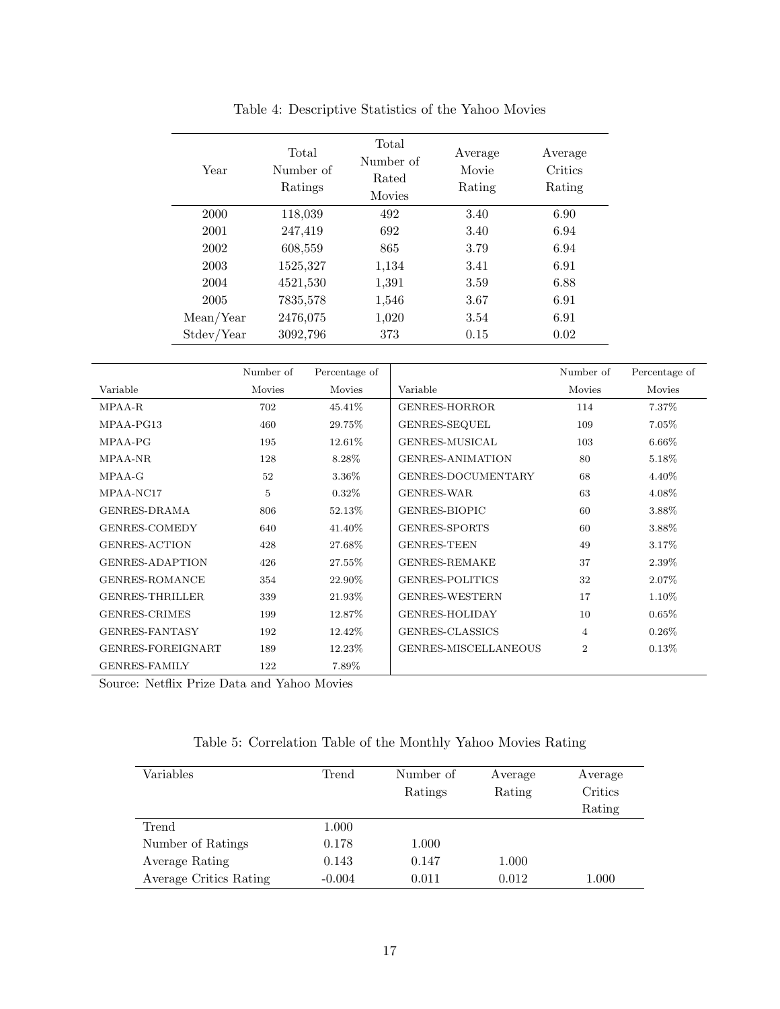| Year       | Total<br>Number of<br>Ratings | Total<br>Number of<br>Rated<br><b>Movies</b> | Average<br>Movie<br>Rating | Average<br>Critics<br>Rating |
|------------|-------------------------------|----------------------------------------------|----------------------------|------------------------------|
| 2000       | 118,039                       | 492                                          | 3.40                       | 6.90                         |
| 2001       | 247,419                       | 692                                          | 3.40                       | 6.94                         |
| 2002       | 608,559                       | 865                                          | 3.79                       | 6.94                         |
| 2003       | 1525,327                      | 1,134                                        | 3.41                       | 6.91                         |
| 2004       | 4521,530                      | 1,391                                        | 3.59                       | 6.88                         |
| 2005       | 7835,578                      | 1,546                                        | 3.67                       | 6.91                         |
| Mean/Year  | 2476,075                      | 1,020                                        | 3.54                       | 6.91                         |
| Stdev/Year | 3092,796                      | 373                                          | 0.15                       | 0.02                         |

Table 4: Descriptive Statistics of the Yahoo Movies

|                        | Mean/Year  | 2476,075      | 1,020    | 3.54                    | 6.91           |               |
|------------------------|------------|---------------|----------|-------------------------|----------------|---------------|
|                        | Stdev/Year | 3092,796      | 373      | 0.15                    | 0.02           |               |
|                        | Number of  | Percentage of |          |                         | Number of      | Percentage of |
| Variable               | Movies     | Movies        | Variable |                         | Movies         | Movies        |
| MPAA-R                 | 702        | 45.41\%       |          | <b>GENRES-HORROR</b>    | 114            | 7.37%         |
| MPAA-PG13              | 460        | 29.75%        |          | GENRES-SEQUEL           | 109            | $7.05\%$      |
| MPAA-PG                | 195        | 12.61%        |          | GENRES-MUSICAL          | 103            | 6.66%         |
| MPAA-NR                | 128        | 8.28%         |          | <b>GENRES-ANIMATION</b> | 80             | 5.18%         |
| $MPAA-G$               | 52         | 3.36%         |          | GENRES-DOCUMENTARY      | 68             | 4.40%         |
| MPAA-NC17              | 5          | 0.32%         |          | <b>GENRES-WAR</b>       | 63             | 4.08%         |
| <b>GENRES-DRAMA</b>    | 806        | 52.13%        |          | GENRES-BIOPIC           | 60             | 3.88%         |
| GENRES-COMEDY          | 640        | 41.40%        |          | GENRES-SPORTS           | 60             | 3.88%         |
| <b>GENRES-ACTION</b>   | 428        | 27.68%        |          | <b>GENRES-TEEN</b>      | 49             | 3.17%         |
| <b>GENRES-ADAPTION</b> | 426        | 27.55%        |          | <b>GENRES-REMAKE</b>    | 37             | 2.39%         |
| <b>GENRES-ROMANCE</b>  | 354        | 22.90%        |          | <b>GENRES-POLITICS</b>  | 32             | 2.07%         |
| <b>GENRES-THRILLER</b> | 339        | 21.93%        |          | <b>GENRES-WESTERN</b>   | 17             | 1.10%         |
| <b>GENRES-CRIMES</b>   | 199        | 12.87%        |          | <b>GENRES-HOLIDAY</b>   | 10             | 0.65%         |
| <b>GENRES-FANTASY</b>  | 192        | 12.42%        |          | GENRES-CLASSICS         | $\overline{4}$ | $0.26\%$      |
| GENRES-FOREIGNART      | 189        | 12.23%        |          | GENRES-MISCELLANEOUS    | $\overline{2}$ | 0.13%         |

 $\begin{tabular}{cc} \multicolumn{2}{c}{{\bf GENRES-FAMILY}} \end{tabular} \begin{tabular}{c} \multicolumn{2}{c}{{\bf CP}{\bf A}} \\ \multicolumn{2}{c}{{\bf CP}{\bf A}} \\ \multicolumn{2}{c}{{\bf CP}{\bf A}} \\ \multicolumn{2}{c}{{\bf CP}{\bf A}} \\ \multicolumn{2}{c}{{\bf CP}{\bf A}} \\ \multicolumn{2}{c}{{\bf CP}{\bf A}} \\ \multicolumn{2}{c}{{\bf CP}{\bf A}} \\ \multicolumn{2}{c}{{\bf CP}{\bf A}} \\ \multicolumn{2}{c}{{\bf CP}{\bf A}} \\ \multicolumn{2}{c}$ Source: Netflix Prize Data and Yahoo Movies

|  | Table 5: Correlation Table of the Monthly Yahoo Movies Rating |  |  |  |  |  |  |
|--|---------------------------------------------------------------|--|--|--|--|--|--|
|--|---------------------------------------------------------------|--|--|--|--|--|--|

| Variables              | Trend    | Number of | Average | Average |
|------------------------|----------|-----------|---------|---------|
|                        |          | Ratings   | Rating  | Critics |
|                        |          |           |         | Rating  |
| Trend                  | 1.000    |           |         |         |
| Number of Ratings      | 0.178    | 1.000     |         |         |
| Average Rating         | 0.143    | 0.147     | 1.000   |         |
| Average Critics Rating | $-0.004$ | 0.011     | 0.012   | 1.000   |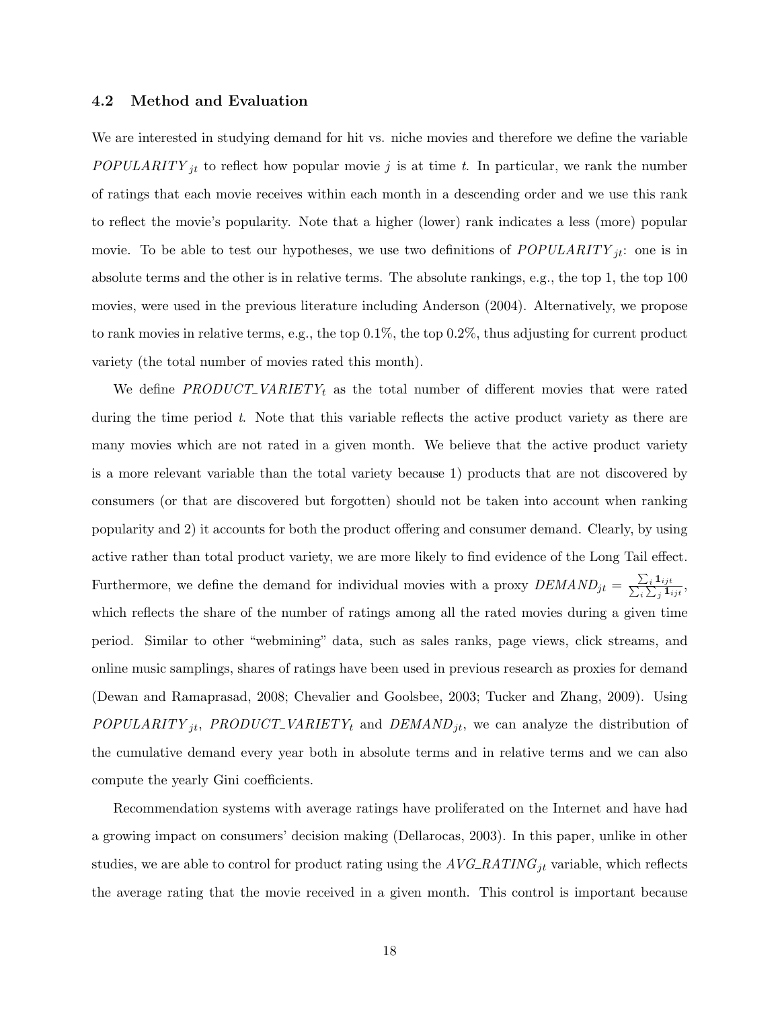#### 4.2 Method and Evaluation

We are interested in studying demand for hit vs. niche movies and therefore we define the variable POPULARITY<sub>jt</sub> to reflect how popular movie j is at time t. In particular, we rank the number of ratings that each movie receives within each month in a descending order and we use this rank to reflect the movie's popularity. Note that a higher (lower) rank indicates a less (more) popular movie. To be able to test our hypotheses, we use two definitions of  $POPULARITY_{jt}$ : one is in absolute terms and the other is in relative terms. The absolute rankings, e.g., the top 1, the top 100 movies, were used in the previous literature including Anderson (2004). Alternatively, we propose to rank movies in relative terms, e.g., the top 0.1%, the top 0.2%, thus adjusting for current product variety (the total number of movies rated this month).

We define  $PRODUCT\_VARIETY_t$  as the total number of different movies that were rated during the time period t. Note that this variable reflects the active product variety as there are many movies which are not rated in a given month. We believe that the active product variety is a more relevant variable than the total variety because 1) products that are not discovered by consumers (or that are discovered but forgotten) should not be taken into account when ranking popularity and 2) it accounts for both the product offering and consumer demand. Clearly, by using active rather than total product variety, we are more likely to find evidence of the Long Tail effect. Furthermore, we define the demand for individual movies with a proxy  $DEMAND_{jt} = \frac{\sum_{i} 1_{ijt}}{\sum_{i} \sum_{i} 1_{ijt}}$  $\frac{\sum_i \mathbf{I}_{ijt}}{i \sum_j \mathbf{I}_{ijt}},$ which reflects the share of the number of ratings among all the rated movies during a given time period. Similar to other "webmining" data, such as sales ranks, page views, click streams, and online music samplings, shares of ratings have been used in previous research as proxies for demand (Dewan and Ramaprasad, 2008; Chevalier and Goolsbee, 2003; Tucker and Zhang, 2009). Using  $POPULARITY_{jt}$ ,  $PRODUCT\_VARIENTY_t$  and  $DEMAND_{jt}$ , we can analyze the distribution of the cumulative demand every year both in absolute terms and in relative terms and we can also compute the yearly Gini coefficients.

Recommendation systems with average ratings have proliferated on the Internet and have had a growing impact on consumers' decision making (Dellarocas, 2003). In this paper, unlike in other studies, we are able to control for product rating using the  $AVG\_RATING_{jt}$  variable, which reflects the average rating that the movie received in a given month. This control is important because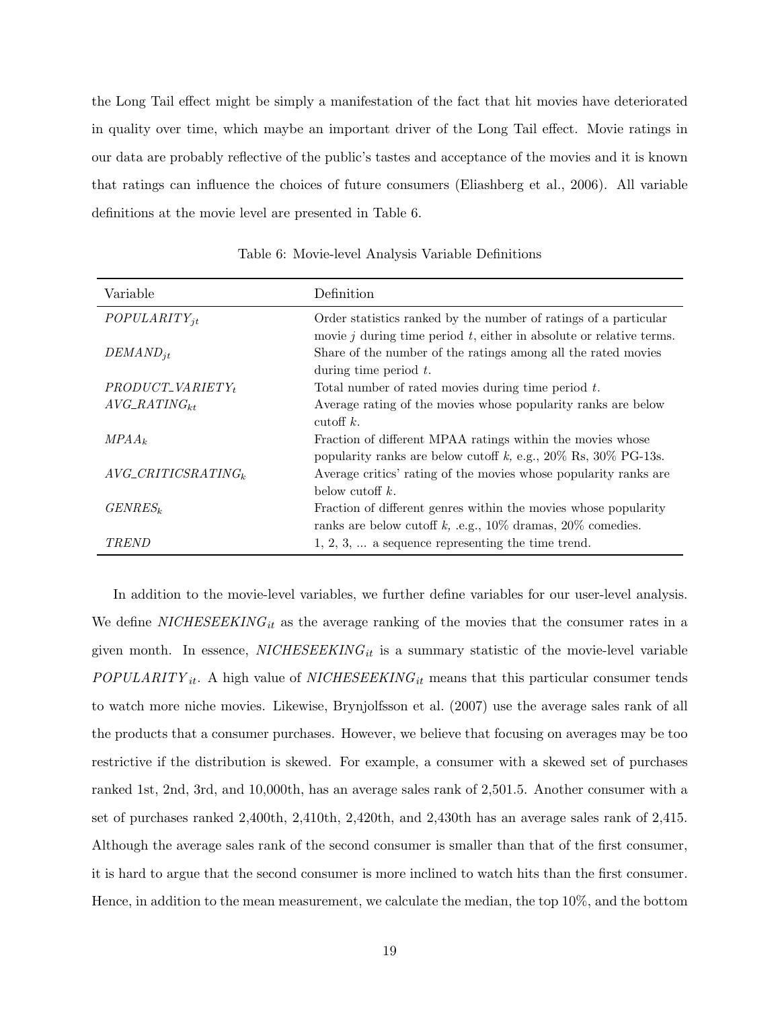the Long Tail effect might be simply a manifestation of the fact that hit movies have deteriorated in quality over time, which maybe an important driver of the Long Tail effect. Movie ratings in our data are probably reflective of the public's tastes and acceptance of the movies and it is known that ratings can influence the choices of future consumers (Eliashberg et al., 2006). All variable definitions at the movie level are presented in Table 6.

| Variable                   | Definition                                                                                                                                   |
|----------------------------|----------------------------------------------------------------------------------------------------------------------------------------------|
| $POPULARITY_{it}$          | Order statistics ranked by the number of ratings of a particular<br>movie $j$ during time period $t$ , either in absolute or relative terms. |
| $DEMAND_{it}$              | Share of the number of the ratings among all the rated movies<br>during time period $t$ .                                                    |
| $PRODUCT\_VARIETY_t$       | Total number of rated movies during time period $t$ .                                                                                        |
| $AVG\_RATING_{kt}$         | Average rating of the movies whose popularity ranks are below<br>cutoff $k$ .                                                                |
| $MPAA_k$                   | Fraction of different MPAA ratings within the movies whose<br>popularity ranks are below cutoff k, e.g., $20\%$ Rs, $30\%$ PG-13s.           |
| $AVG\_CRITICSRATING_k$     | Average critics' rating of the movies whose popularity ranks are<br>below cutoff $k$ .                                                       |
| <i>GENRES</i> <sup>k</sup> | Fraction of different genres within the movies whose popularity<br>ranks are below cutoff k, .e.g., $10\%$ dramas, $20\%$ comedies.          |
| <i>TREND</i>               | $1, 2, 3, \ldots$ a sequence representing the time trend.                                                                                    |

Table 6: Movie-level Analysis Variable Definitions

In addition to the movie-level variables, we further define variables for our user-level analysis. We define  $NICHESEEKING_{it}$  as the average ranking of the movies that the consumer rates in a given month. In essence,  $NICHESEEKING_{it}$  is a summary statistic of the movie-level variable  $POPULARITY_{it}$ . A high value of  $NICHESEEKING_{it}$  means that this particular consumer tends to watch more niche movies. Likewise, Brynjolfsson et al. (2007) use the average sales rank of all the products that a consumer purchases. However, we believe that focusing on averages may be too restrictive if the distribution is skewed. For example, a consumer with a skewed set of purchases ranked 1st, 2nd, 3rd, and 10,000th, has an average sales rank of 2,501.5. Another consumer with a set of purchases ranked 2,400th, 2,410th, 2,420th, and 2,430th has an average sales rank of 2,415. Although the average sales rank of the second consumer is smaller than that of the first consumer, it is hard to argue that the second consumer is more inclined to watch hits than the first consumer. Hence, in addition to the mean measurement, we calculate the median, the top 10%, and the bottom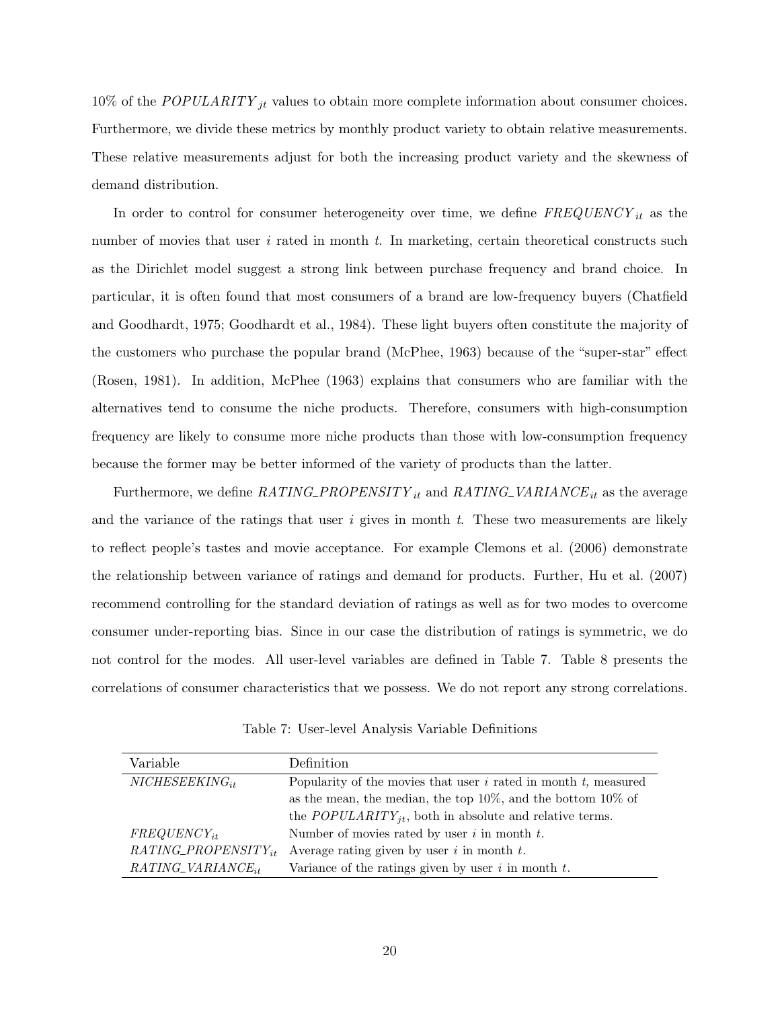10% of the POPULARITY  $_{jt}$  values to obtain more complete information about consumer choices. Furthermore, we divide these metrics by monthly product variety to obtain relative measurements. These relative measurements adjust for both the increasing product variety and the skewness of demand distribution.

In order to control for consumer heterogeneity over time, we define  $FREQUENCY_{it}$  as the number of movies that user  $i$  rated in month  $t$ . In marketing, certain theoretical constructs such as the Dirichlet model suggest a strong link between purchase frequency and brand choice. In particular, it is often found that most consumers of a brand are low-frequency buyers (Chatfield and Goodhardt, 1975; Goodhardt et al., 1984). These light buyers often constitute the majority of the customers who purchase the popular brand (McPhee, 1963) because of the "super-star" effect (Rosen, 1981). In addition, McPhee (1963) explains that consumers who are familiar with the alternatives tend to consume the niche products. Therefore, consumers with high-consumption frequency are likely to consume more niche products than those with low-consumption frequency because the former may be better informed of the variety of products than the latter.

Furthermore, we define  $RATING\_PROPENSITY_{it}$  and  $RATING\_VARIANCE_{it}$  as the average and the variance of the ratings that user  $i$  gives in month  $t$ . These two measurements are likely to reflect people's tastes and movie acceptance. For example Clemons et al. (2006) demonstrate the relationship between variance of ratings and demand for products. Further, Hu et al. (2007) recommend controlling for the standard deviation of ratings as well as for two modes to overcome consumer under-reporting bias. Since in our case the distribution of ratings is symmetric, we do not control for the modes. All user-level variables are defined in Table 7. Table 8 presents the correlations of consumer characteristics that we possess. We do not report any strong correlations.

Table 7: User-level Analysis Variable Definitions

| Variable                  | Definition                                                           |
|---------------------------|----------------------------------------------------------------------|
| $NICHESEEKING_{it}$       | Popularity of the movies that user $i$ rated in month $t$ , measured |
|                           | as the mean, the median, the top $10\%$ , and the bottom $10\%$ of   |
|                           | the $POPULARITY_{jt}$ , both in absolute and relative terms.         |
| $FREGUENCY_{it}$          | Number of movies rated by user $i$ in month $t$ .                    |
| $RATING\_PROPENSITY_{it}$ | Average rating given by user $i$ in month $t$ .                      |
| $RATING_VARIANCE_{it}$    | Variance of the ratings given by user $i$ in month $t$ .             |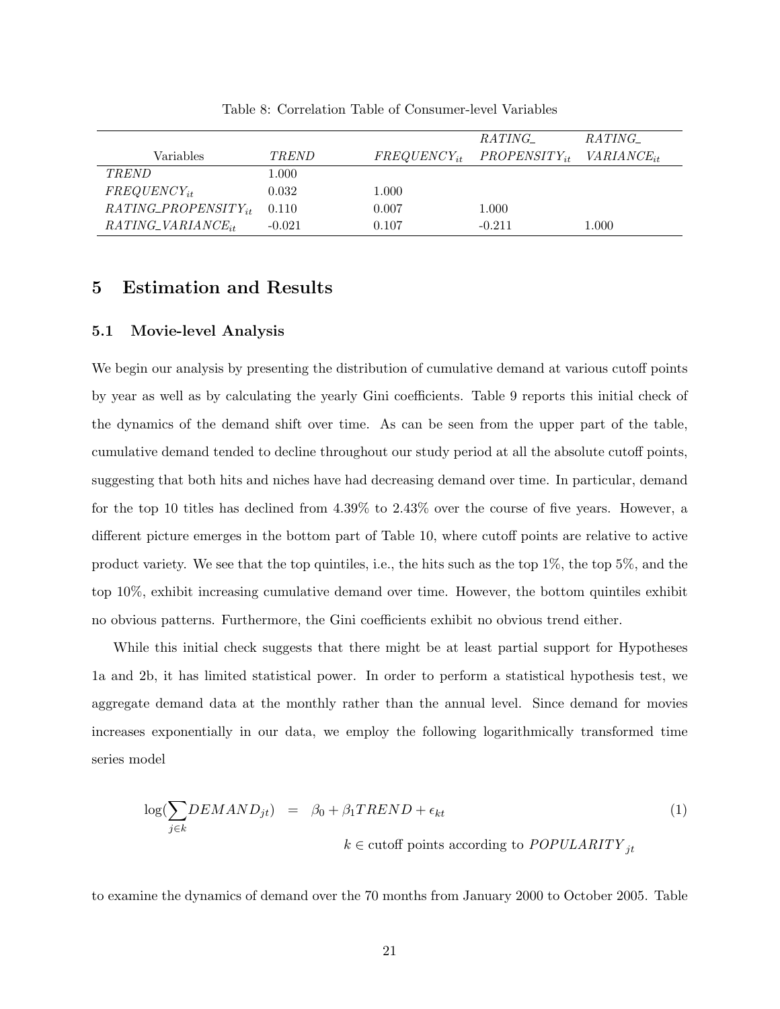|                           |          |                  | RATING_           | RATING_         |
|---------------------------|----------|------------------|-------------------|-----------------|
| Variables                 | TREND    | $FREGUENCY_{it}$ | $PROPENSITY_{it}$ | $VARIANCE_{it}$ |
| TREND                     | 1.000    |                  |                   |                 |
| $FREGUENCY_{it}$          | 0.032    | 1.000            |                   |                 |
| $RATING\_PROPENSITY_{it}$ | 0.110    | 0.007            | 1.000             |                 |
| $RATING\_VARIANCE_{it}$   | $-0.021$ | 0.107            | $-0.211$          | 1.000           |

Table 8: Correlation Table of Consumer-level Variables

## 5 Estimation and Results

#### 5.1 Movie-level Analysis

We begin our analysis by presenting the distribution of cumulative demand at various cutoff points by year as well as by calculating the yearly Gini coefficients. Table 9 reports this initial check of the dynamics of the demand shift over time. As can be seen from the upper part of the table, cumulative demand tended to decline throughout our study period at all the absolute cutoff points, suggesting that both hits and niches have had decreasing demand over time. In particular, demand for the top 10 titles has declined from 4.39% to 2.43% over the course of five years. However, a different picture emerges in the bottom part of Table 10, where cutoff points are relative to active product variety. We see that the top quintiles, i.e., the hits such as the top 1%, the top 5%, and the top 10%, exhibit increasing cumulative demand over time. However, the bottom quintiles exhibit no obvious patterns. Furthermore, the Gini coefficients exhibit no obvious trend either.

While this initial check suggests that there might be at least partial support for Hypotheses 1a and 2b, it has limited statistical power. In order to perform a statistical hypothesis test, we aggregate demand data at the monthly rather than the annual level. Since demand for movies increases exponentially in our data, we employ the following logarithmically transformed time series model

$$
\log(\sum_{j \in k} DEMAND_{jt}) = \beta_0 + \beta_1 TREND + \epsilon_{kt}
$$
  
\n
$$
k \in \text{cutoff points according to } POPULARITY_{jt}
$$
 (1)

to examine the dynamics of demand over the 70 months from January 2000 to October 2005. Table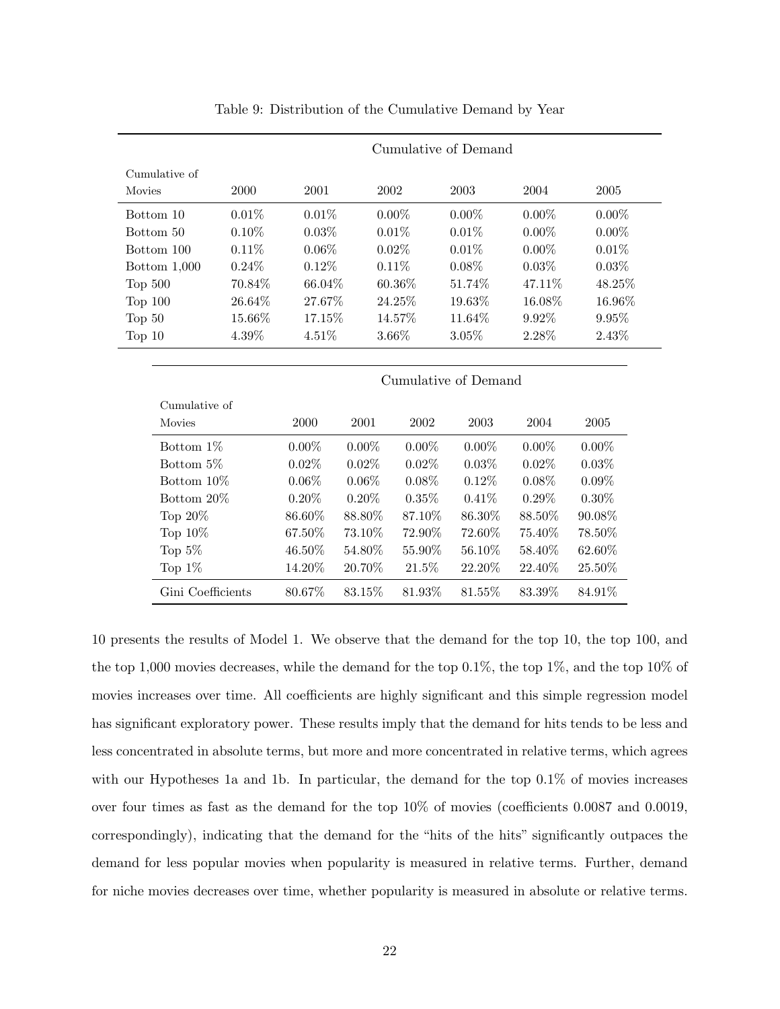|                   |        | Cumulative of Demand |          |            |                      |          |            |  |
|-------------------|--------|----------------------|----------|------------|----------------------|----------|------------|--|
| Cumulative of     |        |                      |          |            |                      |          |            |  |
| Movies            | 2000   | 2001                 | 2002     |            | 2003                 | 2004     | 2005       |  |
| Bottom 10         | 0.01%  | 0.01%                |          | $0.00\%$   | $0.00\%$             | $0.00\%$ | $0.00\%$   |  |
| Bottom 50         | 0.10%  | 0.03%                |          | 0.01%      | 0.01%                | $0.00\%$ | $0.00\%$   |  |
| Bottom 100        | 0.11%  | $0.06\%$             |          | 0.02%      | 0.01%                | $0.00\%$ | 0.01%      |  |
| Bottom $1,000$    | 0.24%  | 0.12%                |          | 0.11%      | $0.08\%$             | 0.03%    | 0.03%      |  |
| Top $500$         | 70.84% | 66.04%               |          | 60.36%     | 51.74%               | 47.11%   | 48.25%     |  |
| Top $100$         | 26.64% | 27.67%               |          | 24.25%     | 19.63%               | 16.08%   | 16.96%     |  |
| Top $50$          | 15.66% | 17.15%               |          | 14.57%     | 11.64%               | 9.92%    | 9.95%      |  |
| Top $10$          | 4.39%  | 4.51%                |          | $3.66\%$   | 3.05%                | 2.28%    | 2.43%      |  |
|                   |        |                      |          |            |                      |          |            |  |
|                   |        |                      |          |            | Cumulative of Demand |          |            |  |
| Cumulative of     |        |                      |          |            |                      |          |            |  |
| Movies            |        | 2000                 | $2001\,$ | $\,2002\,$ | 2003                 | 2004     | $\,2005\,$ |  |
| Bottom 1%         |        | $0.00\%$             | $0.00\%$ | $0.00\%$   | $0.00\%$             | $0.00\%$ | $0.00\%$   |  |
| Bottom 5%         |        | 0.02%                | 0.02%    | $0.02\%$   | 0.03%                | 0.02%    | 0.03%      |  |
| Bottom 10\%       |        | $0.06\%$             | $0.06\%$ | $0.08\%$   | 0.12%                | $0.08\%$ | 0.09%      |  |
| Bottom 20%        |        | $0.20\%$             | $0.20\%$ | 0.35%      | 0.41%                | $0.29\%$ | $0.30\%$   |  |
| Top $20\%$        |        | 86.60%               | 88.80%   | 87.10\%    | 86.30%               | 88.50\%  | 90.08%     |  |
| Top 10%           |        | 67.50%               | 73.10%   | 72.90%     | 72.60%               | 75.40%   | 78.50%     |  |
| Top $5\%$         |        | 46.50%               | 54.80%   | 55.90%     | 56.10%               | 58.40%   | 62.60%     |  |
| Top $1\%$         |        | 14.20%               | 20.70%   | 21.5%      | 22.20%               | 22.40\%  | 25.50%     |  |
| Gini Coefficients |        | 80.67%               | 83.15%   | 81.93%     | 81.55%               | 83.39%   | 84.91%     |  |

Table 9: Distribution of the Cumulative Demand by Year

10 presents the results of Model 1. We observe that the demand for the top 10, the top 100, and the top 1,000 movies decreases, while the demand for the top 0.1%, the top 1%, and the top 10% of movies increases over time. All coefficients are highly significant and this simple regression model has significant exploratory power. These results imply that the demand for hits tends to be less and less concentrated in absolute terms, but more and more concentrated in relative terms, which agrees with our Hypotheses 1a and 1b. In particular, the demand for the top  $0.1\%$  of movies increases over four times as fast as the demand for the top 10% of movies (coefficients 0.0087 and 0.0019, correspondingly), indicating that the demand for the "hits of the hits" significantly outpaces the demand for less popular movies when popularity is measured in relative terms. Further, demand for niche movies decreases over time, whether popularity is measured in absolute or relative terms.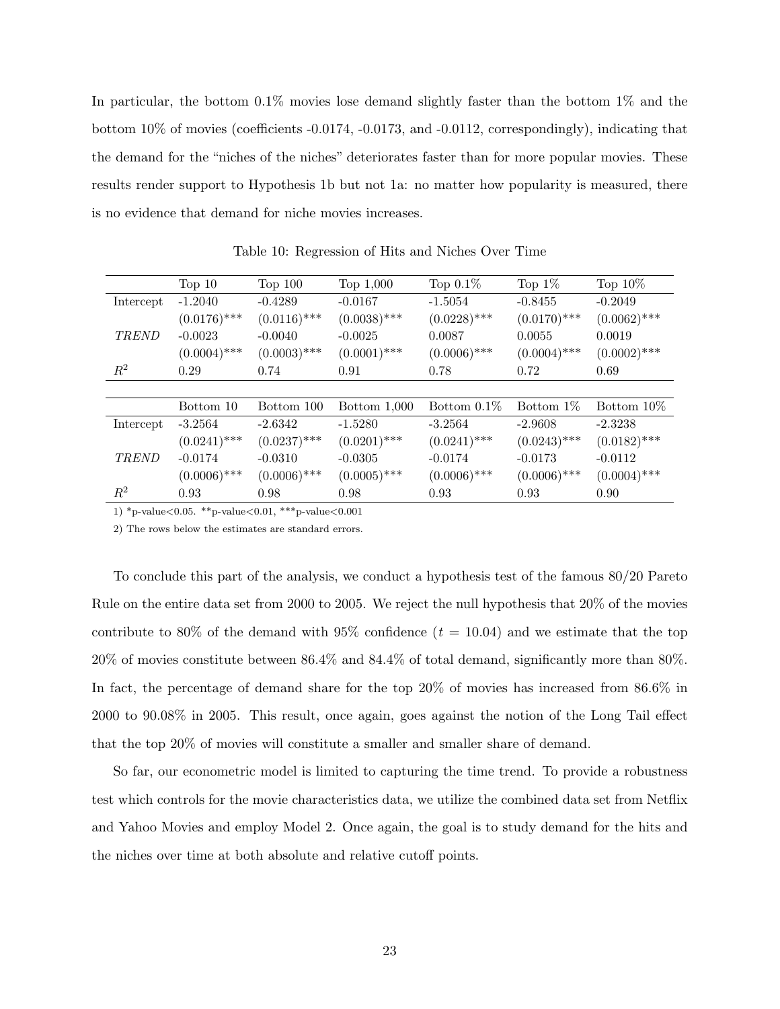In particular, the bottom 0.1% movies lose demand slightly faster than the bottom 1% and the bottom 10% of movies (coefficients -0.0174, -0.0173, and -0.0112, correspondingly), indicating that the demand for the "niches of the niches" deteriorates faster than for more popular movies. These results render support to Hypothesis 1b but not 1a: no matter how popularity is measured, there is no evidence that demand for niche movies increases.

|              | Top 10         | Top $100$      | Top 1,000      | Top $0.1\%$    | Top $1\%$      | Top $10\%$     |
|--------------|----------------|----------------|----------------|----------------|----------------|----------------|
| Intercept    | $-1.2040$      | $-0.4289$      | $-0.0167$      | $-1.5054$      | $-0.8455$      | $-0.2049$      |
|              | $(0.0176)$ *** | $(0.0116)$ *** | $(0.0038)$ *** | $(0.0228)$ *** | $(0.0170)$ *** | $(0.0062)$ *** |
| <b>TREND</b> | $-0.0023$      | $-0.0040$      | $-0.0025$      | 0.0087         | 0.0055         | 0.0019         |
|              | $(0.0004)$ *** | $(0.0003)$ *** | $(0.0001)$ *** | $(0.0006)$ *** | $(0.0004)$ *** | $(0.0002)$ *** |
| $R^2$        | 0.29           | 0.74           | 0.91           | 0.78           | 0.72           | 0.69           |
|              |                |                |                |                |                |                |
|              | Bottom 10      | Bottom 100     | Bottom 1,000   | Bottom $0.1\%$ | Bottom 1\%     | Bottom 10\%    |
| Intercept    | $-3.2564$      | $-2.6342$      | $-1.5280$      | $-3.2564$      | $-2.9608$      | $-2.3238$      |
|              | $(0.0241)$ *** | $(0.0237)$ *** | $(0.0201)$ *** | $(0.0241)$ *** | $(0.0243)$ *** | $(0.0182)$ *** |
| <b>TREND</b> | $-0.0174$      | $-0.0310$      | $-0.0305$      | $-0.0174$      | $-0.0173$      | $-0.0112$      |
|              | $(0.0006)$ *** | $(0.0006)$ *** | $(0.0005)$ *** | $(0.0006)$ *** | $(0.0006)$ *** | $(0.0004)$ *** |
| $R^2$        | 0.93           | 0.98           | 0.98           | 0.93           | 0.93           | 0.90           |

Table 10: Regression of Hits and Niches Over Time

1) \*p-value<0.05. \*\*p-value<0.01, \*\*\*p-value<0.001

2) The rows below the estimates are standard errors.

To conclude this part of the analysis, we conduct a hypothesis test of the famous 80/20 Pareto Rule on the entire data set from 2000 to 2005. We reject the null hypothesis that 20% of the movies contribute to 80% of the demand with 95% confidence  $(t = 10.04)$  and we estimate that the top 20% of movies constitute between 86.4% and 84.4% of total demand, significantly more than 80%. In fact, the percentage of demand share for the top 20% of movies has increased from 86.6% in 2000 to 90.08% in 2005. This result, once again, goes against the notion of the Long Tail effect that the top 20% of movies will constitute a smaller and smaller share of demand.

So far, our econometric model is limited to capturing the time trend. To provide a robustness test which controls for the movie characteristics data, we utilize the combined data set from Netflix and Yahoo Movies and employ Model 2. Once again, the goal is to study demand for the hits and the niches over time at both absolute and relative cutoff points.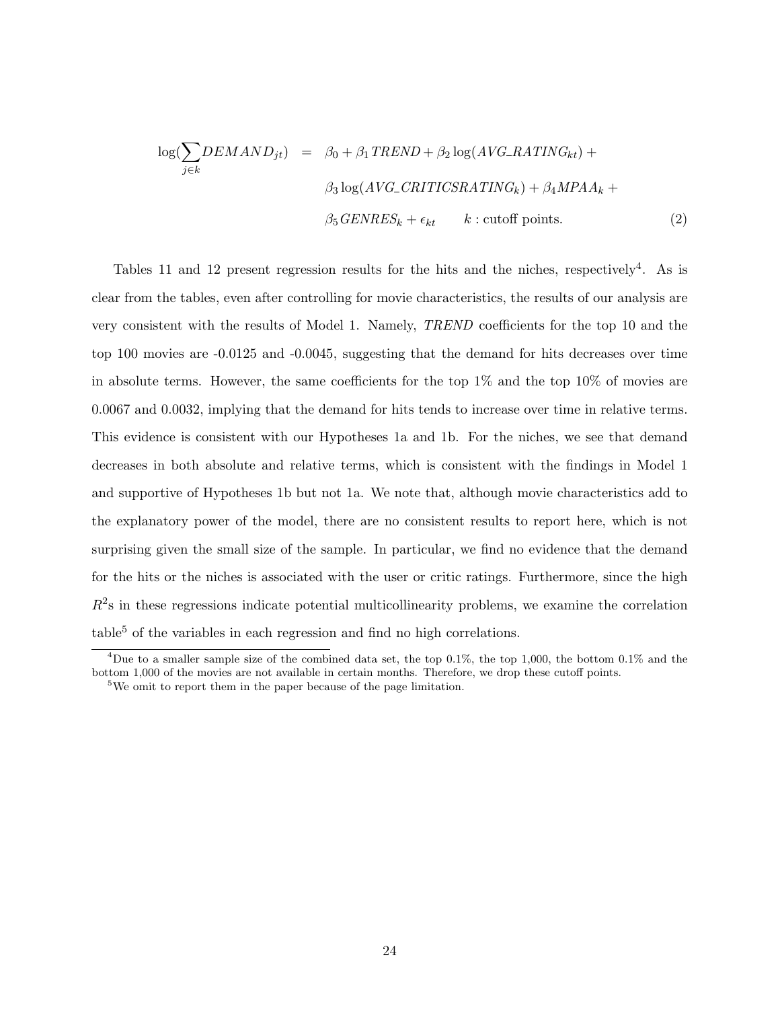$$
\log(\sum_{j \in k} DEMAND_{jt}) = \beta_0 + \beta_1 TREND + \beta_2 \log(AVG\_RATING_{kt}) +
$$
  

$$
\beta_3 \log(AVG\_CRITICSRATING_k) + \beta_4 MPAA_k +
$$
  

$$
\beta_5 GENRES_k + \epsilon_{kt} \qquad k : \text{cutoff points.}
$$
 (2)

Tables 11 and 12 present regression results for the hits and the niches, respectively<sup>4</sup>. As is clear from the tables, even after controlling for movie characteristics, the results of our analysis are very consistent with the results of Model 1. Namely, TREND coefficients for the top 10 and the top 100 movies are -0.0125 and -0.0045, suggesting that the demand for hits decreases over time in absolute terms. However, the same coefficients for the top  $1\%$  and the top  $10\%$  of movies are 0.0067 and 0.0032, implying that the demand for hits tends to increase over time in relative terms. This evidence is consistent with our Hypotheses 1a and 1b. For the niches, we see that demand decreases in both absolute and relative terms, which is consistent with the findings in Model 1 and supportive of Hypotheses 1b but not 1a. We note that, although movie characteristics add to the explanatory power of the model, there are no consistent results to report here, which is not surprising given the small size of the sample. In particular, we find no evidence that the demand for the hits or the niches is associated with the user or critic ratings. Furthermore, since the high  $R<sup>2</sup>$ s in these regressions indicate potential multicollinearity problems, we examine the correlation  $table<sup>5</sup>$  of the variables in each regression and find no high correlations.

<sup>&</sup>lt;sup>4</sup>Due to a smaller sample size of the combined data set, the top 0.1%, the top 1,000, the bottom 0.1% and the bottom 1,000 of the movies are not available in certain months. Therefore, we drop these cutoff points.

<sup>&</sup>lt;sup>5</sup>We omit to report them in the paper because of the page limitation.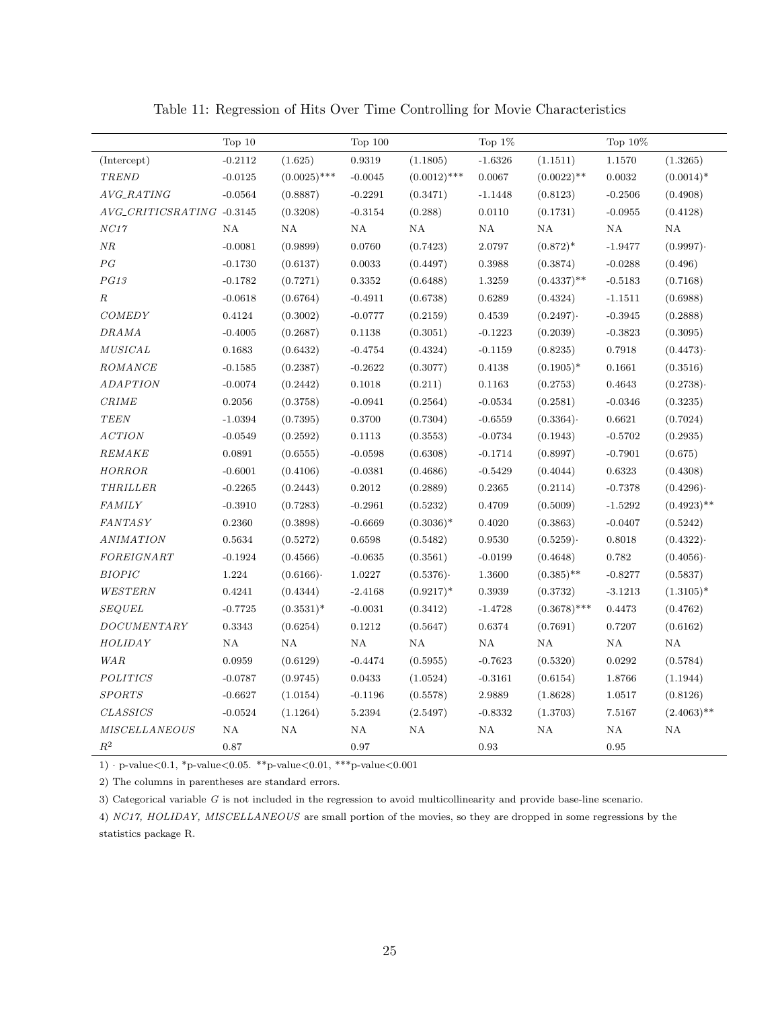|                                                                     | Top 10    |                | Top $100$ |                | Top $1\%$ |                | Top 10%   |               |
|---------------------------------------------------------------------|-----------|----------------|-----------|----------------|-----------|----------------|-----------|---------------|
| (Intercept)                                                         | $-0.2112$ | (1.625)        | 0.9319    | (1.1805)       | $-1.6326$ | (1.1511)       | 1.1570    | (1.3265)      |
| <b>TREND</b>                                                        | $-0.0125$ | $(0.0025)$ *** | $-0.0045$ | $(0.0012)$ *** | 0.0067    | $(0.0022)$ **  | 0.0032    | $(0.0014)^*$  |
| AVG_RATING                                                          | $-0.0564$ | (0.8887)       | $-0.2291$ | (0.3471)       | $-1.1448$ | (0.8123)       | $-0.2506$ | (0.4908)      |
| AVG_CRITICSRATING -0.3145                                           |           | (0.3208)       | $-0.3154$ | (0.288)        | 0.0110    | (0.1731)       | $-0.0955$ | (0.4128)      |
| NC17                                                                | NA        | NA             | NA        | NA             | NA        | NA             | NA        | NA            |
| NR                                                                  | $-0.0081$ | (0.9899)       | 0.0760    | (0.7423)       | 2.0797    | $(0.872)^*$    | $-1.9477$ | (0.9997)      |
| P G                                                                 | $-0.1730$ | (0.6137)       | 0.0033    | (0.4497)       | 0.3988    | (0.3874)       | $-0.0288$ | (0.496)       |
| PG13                                                                | $-0.1782$ | (0.7271)       | 0.3352    | (0.6488)       | 1.3259    | $(0.4337)$ **  | $-0.5183$ | (0.7168)      |
| $\cal R$                                                            | $-0.0618$ | (0.6764)       | $-0.4911$ | (0.6738)       | 0.6289    | (0.4324)       | $-1.1511$ | (0.6988)      |
| <b>COMEDY</b>                                                       | 0.4124    | (0.3002)       | $-0.0777$ | (0.2159)       | 0.4539    | (0.2497)       | $-0.3945$ | (0.2888)      |
| <b>DRAMA</b>                                                        | $-0.4005$ | (0.2687)       | 0.1138    | (0.3051)       | $-0.1223$ | (0.2039)       | $-0.3823$ | (0.3095)      |
| MUSICAL                                                             | 0.1683    | (0.6432)       | $-0.4754$ | (0.4324)       | $-0.1159$ | (0.8235)       | 0.7918    | (0.4473)      |
| ROMANCE                                                             | $-0.1585$ | (0.2387)       | $-0.2622$ | (0.3077)       | 0.4138    | $(0.1905)^*$   | 0.1661    | (0.3516)      |
| <b>ADAPTION</b>                                                     | $-0.0074$ | (0.2442)       | 0.1018    | (0.211)        | 0.1163    | (0.2753)       | 0.4643    | (0.2738)      |
| <b>CRIME</b>                                                        | 0.2056    | (0.3758)       | $-0.0941$ | (0.2564)       | $-0.0534$ | (0.2581)       | $-0.0346$ | (0.3235)      |
| <b>TEEN</b>                                                         | $-1.0394$ | (0.7395)       | 0.3700    | (0.7304)       | $-0.6559$ | (0.3364)       | 0.6621    | (0.7024)      |
| <b>ACTION</b>                                                       | $-0.0549$ | (0.2592)       | 0.1113    | (0.3553)       | $-0.0734$ | (0.1943)       | $-0.5702$ | (0.2935)      |
| REMAKE                                                              | 0.0891    | (0.6555)       | $-0.0598$ | (0.6308)       | $-0.1714$ | (0.8997)       | $-0.7901$ | (0.675)       |
| <b>HORROR</b>                                                       | $-0.6001$ | (0.4106)       | $-0.0381$ | (0.4686)       | $-0.5429$ | (0.4044)       | 0.6323    | (0.4308)      |
| THRILLER                                                            | $-0.2265$ | (0.2443)       | 0.2012    | (0.2889)       | 0.2365    | (0.2114)       | $-0.7378$ | (0.4296)      |
| <b>FAMILY</b>                                                       | $-0.3910$ | (0.7283)       | $-0.2961$ | (0.5232)       | 0.4709    | (0.5009)       | $-1.5292$ | $(0.4923)$ ** |
| <b>FANTASY</b>                                                      | 0.2360    | (0.3898)       | $-0.6669$ | $(0.3036)^*$   | 0.4020    | (0.3863)       | $-0.0407$ | (0.5242)      |
| <b>ANIMATION</b>                                                    | 0.5634    | (0.5272)       | 0.6598    | (0.5482)       | 0.9530    | (0.5259)       | 0.8018    | (0.4322)      |
| FOREIGNART                                                          | $-0.1924$ | (0.4566)       | $-0.0635$ | (0.3561)       | $-0.0199$ | (0.4648)       | 0.782     | (0.4056)      |
| <b>BIOPIC</b>                                                       | 1.224     | (0.6166)       | 1.0227    | (0.5376)       | 1.3600    | $(0.385)$ **   | $-0.8277$ | (0.5837)      |
| WESTERN                                                             | 0.4241    | (0.4344)       | $-2.4168$ | $(0.9217)^*$   | 0.3939    | (0.3732)       | $-3.1213$ | $(1.3105)^*$  |
| <b>SEQUEL</b>                                                       | $-0.7725$ | $(0.3531)^*$   | $-0.0031$ | (0.3412)       | $-1.4728$ | $(0.3678)$ *** | 0.4473    | (0.4762)      |
| $\label{eq:1} \begin{array}{llll} \textit{DOCUMENTARY} \end{array}$ | 0.3343    | (0.6254)       | 0.1212    | (0.5647)       | 0.6374    | (0.7691)       | 0.7207    | (0.6162)      |
| HOLIDAY                                                             | NA        | NA             | NA        | NA             | NA        | NA             | NA        | NA            |
| <b>WAR</b>                                                          | 0.0959    | (0.6129)       | $-0.4474$ | (0.5955)       | $-0.7623$ | (0.5320)       | 0.0292    | (0.5784)      |
| <b>POLITICS</b>                                                     | $-0.0787$ | (0.9745)       | 0.0433    | (1.0524)       | $-0.3161$ | (0.6154)       | 1.8766    | (1.1944)      |
| <b>SPORTS</b>                                                       | $-0.6627$ | (1.0154)       | $-0.1196$ | (0.5578)       | 2.9889    | (1.8628)       | 1.0517    | (0.8126)      |
| <b>CLASSICS</b>                                                     | $-0.0524$ | (1.1264)       | 5.2394    | (2.5497)       | $-0.8332$ | (1.3703)       | 7.5167    | $(2.4063)$ ** |
| <b>MISCELLANEOUS</b>                                                | NA        | NA             | NA        | $\mathrm{NA}$  | NA        | $\rm NA$       | NA        | $\mathrm{NA}$ |
| $\mathbb{R}^2$                                                      | 0.87      |                | 0.97      |                | 0.93      |                | 0.95      |               |

Table 11: Regression of Hits Over Time Controlling for Movie Characteristics

1)  $\cdot$  p-value<br><0.1, \*p-value<br><0.05. \*\*p-value<br><0.01, \*\*\*p-value<0.001

2) The columns in parentheses are standard errors.

3) Categorical variable G is not included in the regression to avoid multicollinearity and provide base-line scenario.

4) NC17, HOLIDAY, MISCELLANEOUS are small portion of the movies, so they are dropped in some regressions by the statistics package R.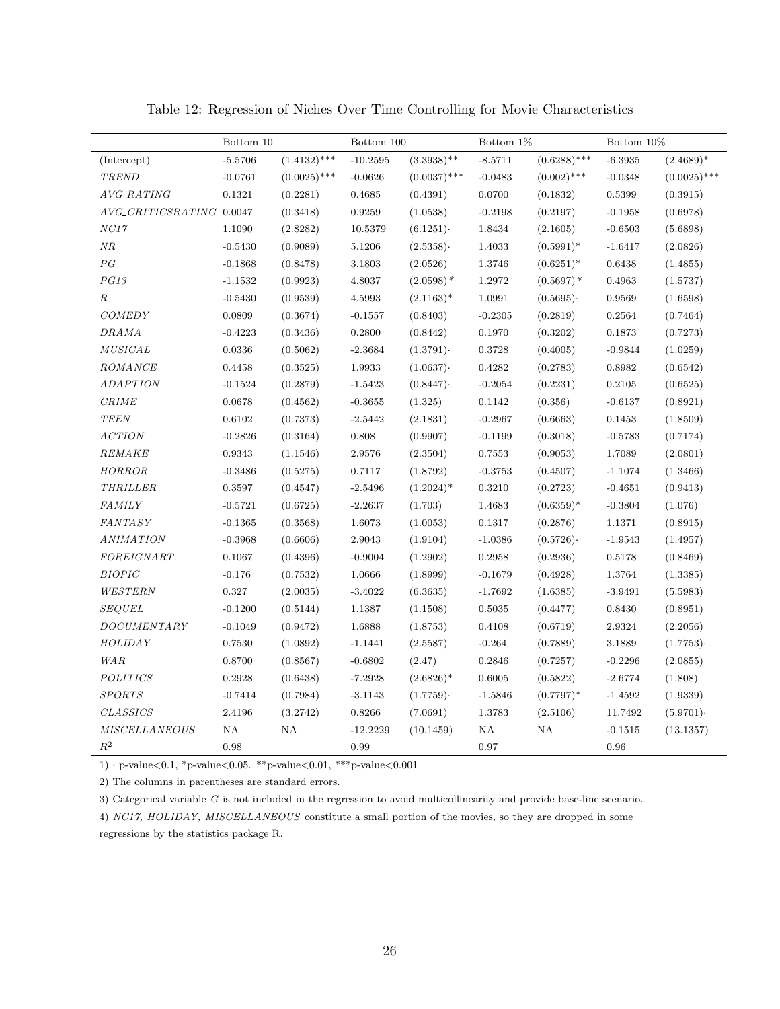|                          | Bottom 10 |                | Bottom 100 |                | Bottom 1\% |                | Bottom 10% |                |
|--------------------------|-----------|----------------|------------|----------------|------------|----------------|------------|----------------|
| (Intercept)              | $-5.5706$ | $(1.4132)$ *** | $-10.2595$ | $(3.3938)$ **  | $-8.5711$  | $(0.6288)$ *** | $-6.3935$  | $(2.4689)^*$   |
| TREND                    | $-0.0761$ | $(0.0025)$ *** | $-0.0626$  | $(0.0037)$ *** | $-0.0483$  | $(0.002)$ ***  | $-0.0348$  | $(0.0025)$ *** |
| AVG_RATING               | 0.1321    | (0.2281)       | 0.4685     | (0.4391)       | 0.0700     | (0.1832)       | 0.5399     | (0.3915)       |
| AVG_CRITICSRATING 0.0047 |           | (0.3418)       | 0.9259     | (1.0538)       | $-0.2198$  | (0.2197)       | $-0.1958$  | (0.6978)       |
| NC17                     | 1.1090    | (2.8282)       | 10.5379    | (6.1251)       | 1.8434     | (2.1605)       | $-0.6503$  | (5.6898)       |
| NR                       | $-0.5430$ | (0.9089)       | 5.1206     | (2.5358)       | 1.4033     | $(0.5991)^*$   | $-1.6417$  | (2.0826)       |
| PG                       | $-0.1868$ | (0.8478)       | 3.1803     | (2.0526)       | 1.3746     | $(0.6251)^*$   | 0.6438     | (1.4855)       |
| PG13                     | $-1.1532$ | (0.9923)       | 4.8037     | $(2.0598)$ *   | 1.2972     | $(0.5697)$ *   | 0.4963     | (1.5737)       |
| $\cal R$                 | $-0.5430$ | (0.9539)       | 4.5993     | $(2.1163)^*$   | 1.0991     | (0.5695)       | 0.9569     | (1.6598)       |
| <b>COMEDY</b>            | 0.0809    | (0.3674)       | $-0.1557$  | (0.8403)       | $-0.2305$  | (0.2819)       | 0.2564     | (0.7464)       |
| <b>DRAMA</b>             | $-0.4223$ | (0.3436)       | 0.2800     | (0.8442)       | 0.1970     | (0.3202)       | 0.1873     | (0.7273)       |
| <b>MUSICAL</b>           | 0.0336    | (0.5062)       | $-2.3684$  | (1.3791)       | 0.3728     | (0.4005)       | $-0.9844$  | (1.0259)       |
| ROMANCE                  | 0.4458    | (0.3525)       | 1.9933     | (1.0637)       | 0.4282     | (0.2783)       | 0.8982     | (0.6542)       |
| ADAPTION                 | $-0.1524$ | (0.2879)       | $-1.5423$  | (0.8447)       | $-0.2054$  | (0.2231)       | 0.2105     | (0.6525)       |
| <i>CRIME</i>             | 0.0678    | (0.4562)       | $-0.3655$  | (1.325)        | 0.1142     | (0.356)        | $-0.6137$  | (0.8921)       |
| <b>TEEN</b>              | 0.6102    | (0.7373)       | $-2.5442$  | (2.1831)       | $-0.2967$  | (0.6663)       | 0.1453     | (1.8509)       |
| <b>ACTION</b>            | $-0.2826$ | (0.3164)       | 0.808      | (0.9907)       | $-0.1199$  | (0.3018)       | $-0.5783$  | (0.7174)       |
| REMAKE                   | 0.9343    | (1.1546)       | 2.9576     | (2.3504)       | 0.7553     | (0.9053)       | 1.7089     | (2.0801)       |
| HORROR                   | $-0.3486$ | (0.5275)       | 0.7117     | (1.8792)       | $-0.3753$  | (0.4507)       | $-1.1074$  | (1.3466)       |
| <b>THRILLER</b>          | 0.3597    | (0.4547)       | $-2.5496$  | $(1.2024)^*$   | 0.3210     | (0.2723)       | $-0.4651$  | (0.9413)       |
| <b>FAMILY</b>            | $-0.5721$ | (0.6725)       | $-2.2637$  | (1.703)        | 1.4683     | $(0.6359)*$    | $-0.3804$  | (1.076)        |
| <b>FANTASY</b>           | $-0.1365$ | (0.3568)       | 1.6073     | (1.0053)       | 0.1317     | (0.2876)       | 1.1371     | (0.8915)       |
| <b>ANIMATION</b>         | $-0.3968$ | (0.6606)       | 2.9043     | (1.9104)       | $-1.0386$  | (0.5726)       | $-1.9543$  | (1.4957)       |
| FOREIGNART               | 0.1067    | (0.4396)       | $-0.9004$  | (1.2902)       | 0.2958     | (0.2936)       | 0.5178     | (0.8469)       |
| <b>BIOPIC</b>            | $-0.176$  | (0.7532)       | 1.0666     | (1.8999)       | $-0.1679$  | (0.4928)       | 1.3764     | (1.3385)       |
| WESTERN                  | 0.327     | (2.0035)       | $-3.4022$  | (6.3635)       | $-1.7692$  | (1.6385)       | $-3.9491$  | (5.5983)       |
| <b>SEQUEL</b>            | $-0.1200$ | (0.5144)       | 1.1387     | (1.1508)       | 0.5035     | (0.4477)       | 0.8430     | (0.8951)       |
| DOCUMENTARY              | $-0.1049$ | (0.9472)       | 1.6888     | (1.8753)       | 0.4108     | (0.6719)       | 2.9324     | (2.2056)       |
| <b>HOLIDAY</b>           | 0.7530    | (1.0892)       | $-1.1441$  | (2.5587)       | $-0.264$   | (0.7889)       | 3.1889     | (1.7753)       |
| <b>WAR</b>               | 0.8700    | (0.8567)       | $-0.6802$  | (2.47)         | 0.2846     | (0.7257)       | $-0.2296$  | (2.0855)       |
| <b>POLITICS</b>          | 0.2928    | (0.6438)       | $-7.2928$  | $(2.6826)^*$   | 0.6005     | (0.5822)       | $-2.6774$  | (1.808)        |
| <b>SPORTS</b>            | $-0.7414$ | (0.7984)       | $-3.1143$  | (1.7759)       | $-1.5846$  | $(0.7797)^*$   | $-1.4592$  | (1.9339)       |
| <b>CLASSICS</b>          | 2.4196    | (3.2742)       | 0.8266     | (7.0691)       | 1.3783     | (2.5106)       | 11.7492    | (5.9701)       |
| <b>MISCELLANEOUS</b>     | NA        | NA             | $-12.2229$ | (10.1459)      | ΝA         | NA             | $-0.1515$  | (13.1357)      |
| $\mathbb{R}^2$           | 0.98      |                | 0.99       |                | 0.97       |                | 0.96       |                |

Table 12: Regression of Niches Over Time Controlling for Movie Characteristics

1)  $\cdot$  p-value<br><0.1, \*p-value<br><0.05. \*\*p-value<br><0.01, \*\*\*p-value<0.001

2) The columns in parentheses are standard errors.

3) Categorical variable G is not included in the regression to avoid multicollinearity and provide base-line scenario.

4) NC17, HOLIDAY, MISCELLANEOUS constitute a small portion of the movies, so they are dropped in some

regressions by the statistics package R.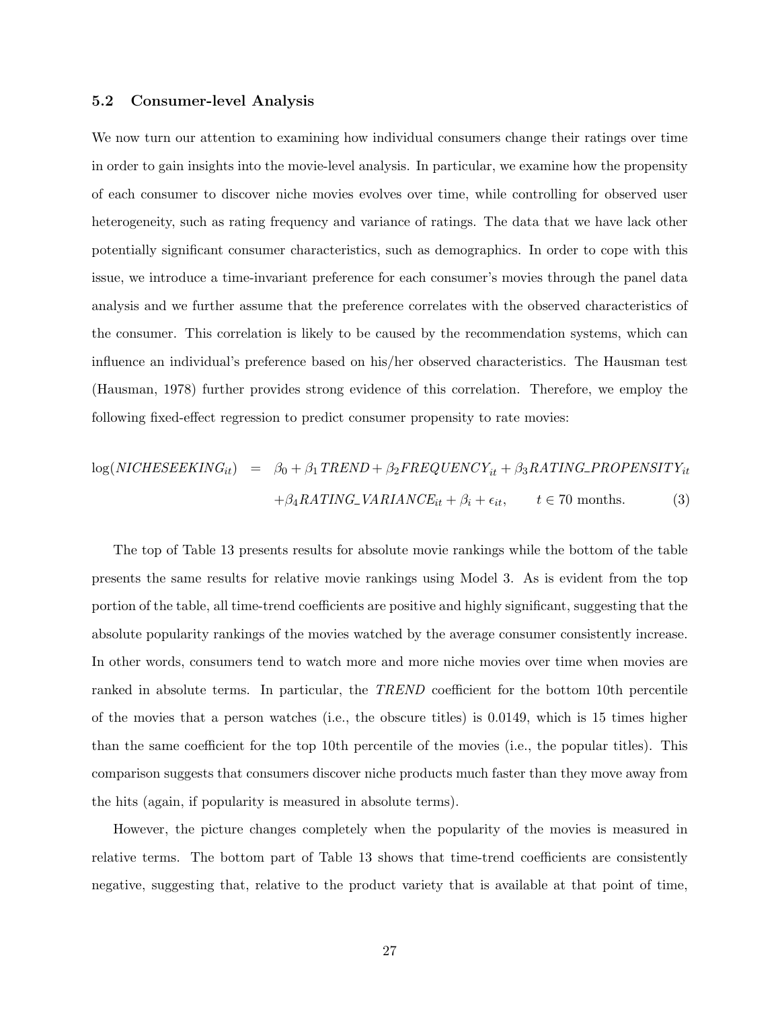#### 5.2 Consumer-level Analysis

We now turn our attention to examining how individual consumers change their ratings over time in order to gain insights into the movie-level analysis. In particular, we examine how the propensity of each consumer to discover niche movies evolves over time, while controlling for observed user heterogeneity, such as rating frequency and variance of ratings. The data that we have lack other potentially significant consumer characteristics, such as demographics. In order to cope with this issue, we introduce a time-invariant preference for each consumer's movies through the panel data analysis and we further assume that the preference correlates with the observed characteristics of the consumer. This correlation is likely to be caused by the recommendation systems, which can influence an individual's preference based on his/her observed characteristics. The Hausman test (Hausman, 1978) further provides strong evidence of this correlation. Therefore, we employ the following fixed-effect regression to predict consumer propensity to rate movies:

$$
log(NICHESEEKING_{it}) = \beta_0 + \beta_1 TREND + \beta_2 FREQUENCY_{it} + \beta_3 RATING\_PROPENSITY_{it}
$$

$$
+ \beta_4 RATING\_VARIANCE_{it} + \beta_i + \epsilon_{it}, \qquad t \in 70 \text{ months.}
$$
(3)

The top of Table 13 presents results for absolute movie rankings while the bottom of the table presents the same results for relative movie rankings using Model 3. As is evident from the top portion of the table, all time-trend coefficients are positive and highly significant, suggesting that the absolute popularity rankings of the movies watched by the average consumer consistently increase. In other words, consumers tend to watch more and more niche movies over time when movies are ranked in absolute terms. In particular, the TREND coefficient for the bottom 10th percentile of the movies that a person watches (i.e., the obscure titles) is 0.0149, which is 15 times higher than the same coefficient for the top 10th percentile of the movies (i.e., the popular titles). This comparison suggests that consumers discover niche products much faster than they move away from the hits (again, if popularity is measured in absolute terms).

However, the picture changes completely when the popularity of the movies is measured in relative terms. The bottom part of Table 13 shows that time-trend coefficients are consistently negative, suggesting that, relative to the product variety that is available at that point of time,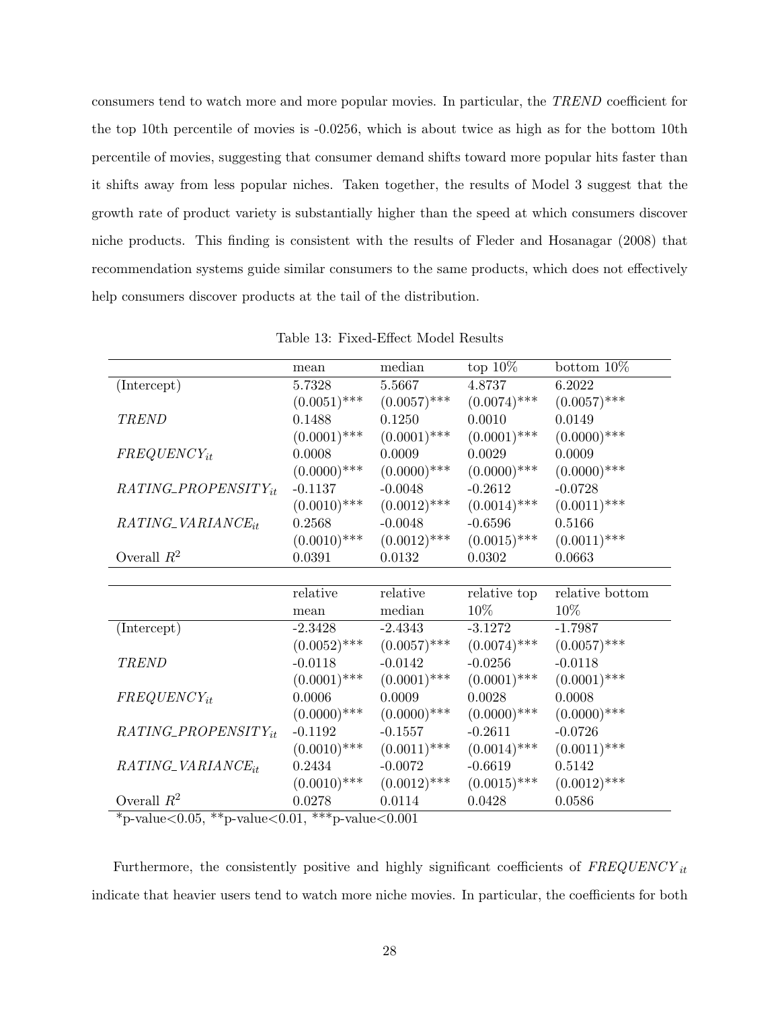consumers tend to watch more and more popular movies. In particular, the TREND coefficient for the top 10th percentile of movies is -0.0256, which is about twice as high as for the bottom 10th percentile of movies, suggesting that consumer demand shifts toward more popular hits faster than it shifts away from less popular niches. Taken together, the results of Model 3 suggest that the growth rate of product variety is substantially higher than the speed at which consumers discover niche products. This finding is consistent with the results of Fleder and Hosanagar (2008) that recommendation systems guide similar consumers to the same products, which does not effectively help consumers discover products at the tail of the distribution.

|                            | mean                     | median         | top $10\%$                    | bottom $10\%$   |  |
|----------------------------|--------------------------|----------------|-------------------------------|-----------------|--|
| (Intercept)                | 5.7328                   | 5.5667         | 4.8737                        | 6.2022          |  |
|                            | $(0.0051)$ ***           | $(0.0057)$ *** | $(0.0074)$ ***                | $(0.0057)$ ***  |  |
| <b>TREND</b>               | 0.1488                   | 0.1250         | 0.0010                        | 0.0149          |  |
|                            | $(0.0001)$ ***           | $(0.0001)$ *** | $(0.0001)$ ***                | $(0.0000)$ ***  |  |
| $FREGUENCY_{it}$           | 0.0008                   | 0.0009         | 0.0029                        | 0.0009          |  |
|                            | $(0.0000)$ ***           | $(0.0000)$ *** | $(0.0000)$ ***                | $(0.0000)$ ***  |  |
| RATING_PROPENSITYit        | $-0.1137$                | $-0.0048$      | $-0.2612$                     | $-0.0728$       |  |
|                            | $(0.0010)$ ***           | $(0.0012)$ *** | $(0.0014)$ ***                | $(0.0011)$ ***  |  |
| $RATING\_VARIANCE_{it}$    | 0.2568                   | $-0.0048$      | $-0.6596$                     | 0.5166          |  |
|                            | $(0.0010)$ ***           | $(0.0012)$ *** | $(0.0015)$ ***                | $(0.0011)$ ***  |  |
| Overall $R^2$              | 0.0391                   | 0.0132         | 0.0302                        | 0.0663          |  |
|                            |                          |                |                               |                 |  |
|                            | relative                 | relative       | relative top                  | relative bottom |  |
|                            | mean                     | median         | $10\%$                        | 10%             |  |
| (Intercept)                | $-2.3428$                | $-2.4343$      | $-3.1272$                     | $-1.7987$       |  |
|                            | $(0.0052)$ ***           |                | $(0.0057)$ *** $(0.0074)$ *** | $(0.0057)$ ***  |  |
| <b>TREND</b>               | $-0.0118$                | $-0.0142$      | $-0.0256$                     | $-0.0118$       |  |
|                            | $(0.0001)$ ***           | $(0.0001)$ *** | $(0.0001)$ ***                | $(0.0001)$ ***  |  |
| $FREGUENCY_{it}$           | 0.0006                   | 0.0009         | 0.0028                        | 0.0008          |  |
|                            | $(0.0000)$ ***           | $(0.0000)$ *** | $(0.0000)$ ***                | $(0.0000)$ ***  |  |
| $RATING\_PROPENSITY_{it}$  | $-0.1192$                | $-0.1557$      | $-0.2611$                     | $-0.0726$       |  |
|                            | $(0.0010)$ ***           | $(0.0011)$ *** | $(0.0014)$ ***                | $(0.0011)$ ***  |  |
| RATING_VARIANCEit          | 0.2434                   | $-0.0072$      | $-0.6619$                     | 0.5142          |  |
|                            | $(0.0010)$ ***           | $(0.0012)$ *** | $(0.0015)$ ***                | $(0.0012)$ ***  |  |
| Overall $R^2$<br>$\sim -1$ | 0.0278<br>أماله مالدمانه | 0.0114         | 0.0428                        | 0.0586          |  |

| Table 13: Fixed-Effect Model Results |
|--------------------------------------|
|--------------------------------------|

\*p-value<0.05, \*\*p-value<0.01, \*\*\*p-value<0.001

Furthermore, the consistently positive and highly significant coefficients of  $FREGUENCY_{it}$ indicate that heavier users tend to watch more niche movies. In particular, the coefficients for both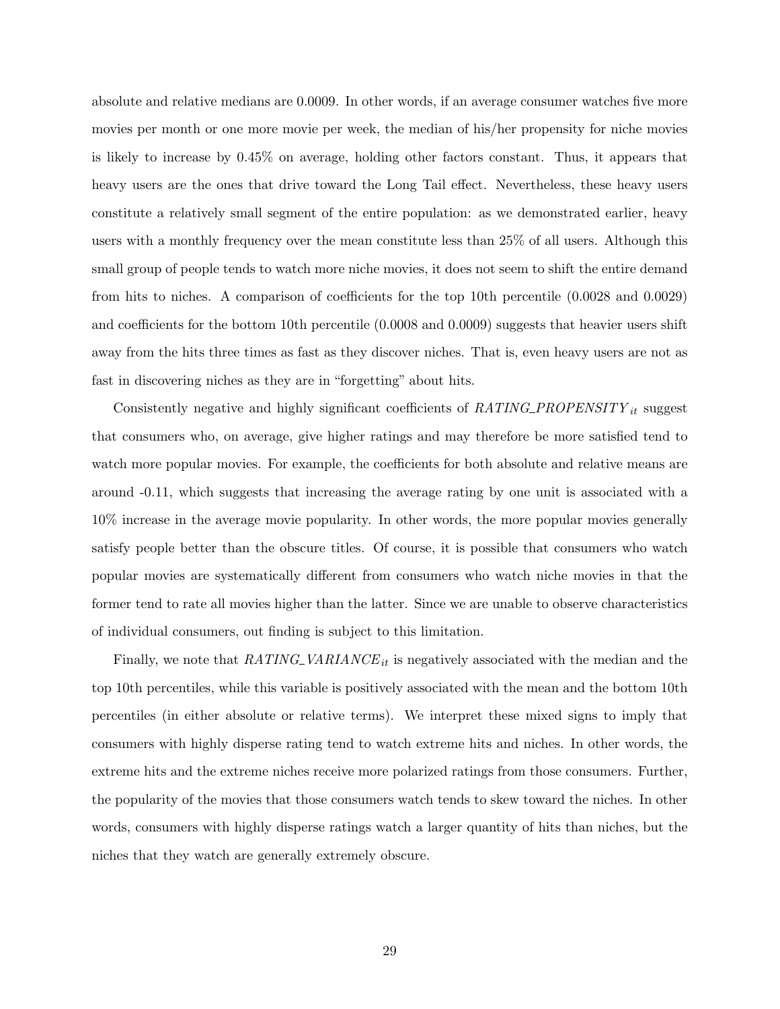absolute and relative medians are 0.0009. In other words, if an average consumer watches five more movies per month or one more movie per week, the median of his/her propensity for niche movies is likely to increase by 0.45% on average, holding other factors constant. Thus, it appears that heavy users are the ones that drive toward the Long Tail effect. Nevertheless, these heavy users constitute a relatively small segment of the entire population: as we demonstrated earlier, heavy users with a monthly frequency over the mean constitute less than 25% of all users. Although this small group of people tends to watch more niche movies, it does not seem to shift the entire demand from hits to niches. A comparison of coefficients for the top 10th percentile (0.0028 and 0.0029) and coefficients for the bottom 10th percentile  $(0.0008$  and  $(0.0009)$  suggests that heavier users shift away from the hits three times as fast as they discover niches. That is, even heavy users are not as fast in discovering niches as they are in "forgetting" about hits.

Consistently negative and highly significant coefficients of  $RATING\_PROPENSITY_{it}$  suggest that consumers who, on average, give higher ratings and may therefore be more satisfied tend to watch more popular movies. For example, the coefficients for both absolute and relative means are around -0.11, which suggests that increasing the average rating by one unit is associated with a 10% increase in the average movie popularity. In other words, the more popular movies generally satisfy people better than the obscure titles. Of course, it is possible that consumers who watch popular movies are systematically different from consumers who watch niche movies in that the former tend to rate all movies higher than the latter. Since we are unable to observe characteristics of individual consumers, out finding is subject to this limitation.

Finally, we note that  $RATING\_VARIANCE_{it}$  is negatively associated with the median and the top 10th percentiles, while this variable is positively associated with the mean and the bottom 10th percentiles (in either absolute or relative terms). We interpret these mixed signs to imply that consumers with highly disperse rating tend to watch extreme hits and niches. In other words, the extreme hits and the extreme niches receive more polarized ratings from those consumers. Further, the popularity of the movies that those consumers watch tends to skew toward the niches. In other words, consumers with highly disperse ratings watch a larger quantity of hits than niches, but the niches that they watch are generally extremely obscure.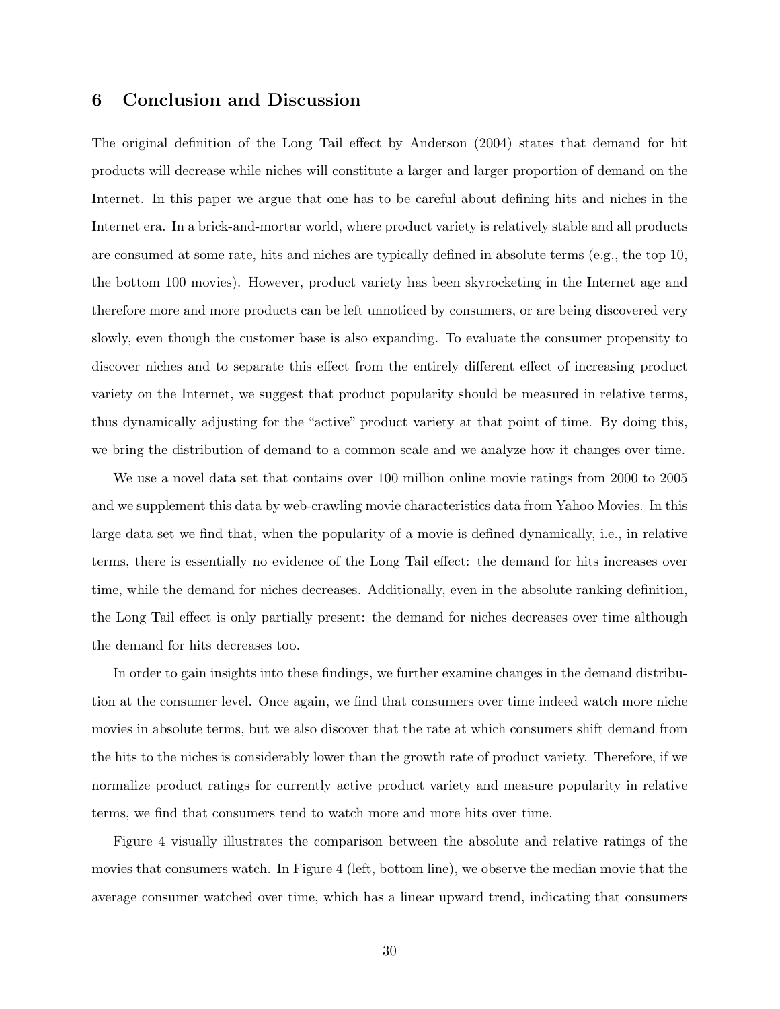## 6 Conclusion and Discussion

The original definition of the Long Tail effect by Anderson (2004) states that demand for hit products will decrease while niches will constitute a larger and larger proportion of demand on the Internet. In this paper we argue that one has to be careful about defining hits and niches in the Internet era. In a brick-and-mortar world, where product variety is relatively stable and all products are consumed at some rate, hits and niches are typically defined in absolute terms (e.g., the top 10, the bottom 100 movies). However, product variety has been skyrocketing in the Internet age and therefore more and more products can be left unnoticed by consumers, or are being discovered very slowly, even though the customer base is also expanding. To evaluate the consumer propensity to discover niches and to separate this effect from the entirely different effect of increasing product variety on the Internet, we suggest that product popularity should be measured in relative terms, thus dynamically adjusting for the "active" product variety at that point of time. By doing this, we bring the distribution of demand to a common scale and we analyze how it changes over time.

We use a novel data set that contains over 100 million online movie ratings from 2000 to 2005 and we supplement this data by web-crawling movie characteristics data from Yahoo Movies. In this large data set we find that, when the popularity of a movie is defined dynamically, i.e., in relative terms, there is essentially no evidence of the Long Tail effect: the demand for hits increases over time, while the demand for niches decreases. Additionally, even in the absolute ranking definition, the Long Tail effect is only partially present: the demand for niches decreases over time although the demand for hits decreases too.

In order to gain insights into these findings, we further examine changes in the demand distribution at the consumer level. Once again, we find that consumers over time indeed watch more niche movies in absolute terms, but we also discover that the rate at which consumers shift demand from the hits to the niches is considerably lower than the growth rate of product variety. Therefore, if we normalize product ratings for currently active product variety and measure popularity in relative terms, we find that consumers tend to watch more and more hits over time.

Figure 4 visually illustrates the comparison between the absolute and relative ratings of the movies that consumers watch. In Figure 4 (left, bottom line), we observe the median movie that the average consumer watched over time, which has a linear upward trend, indicating that consumers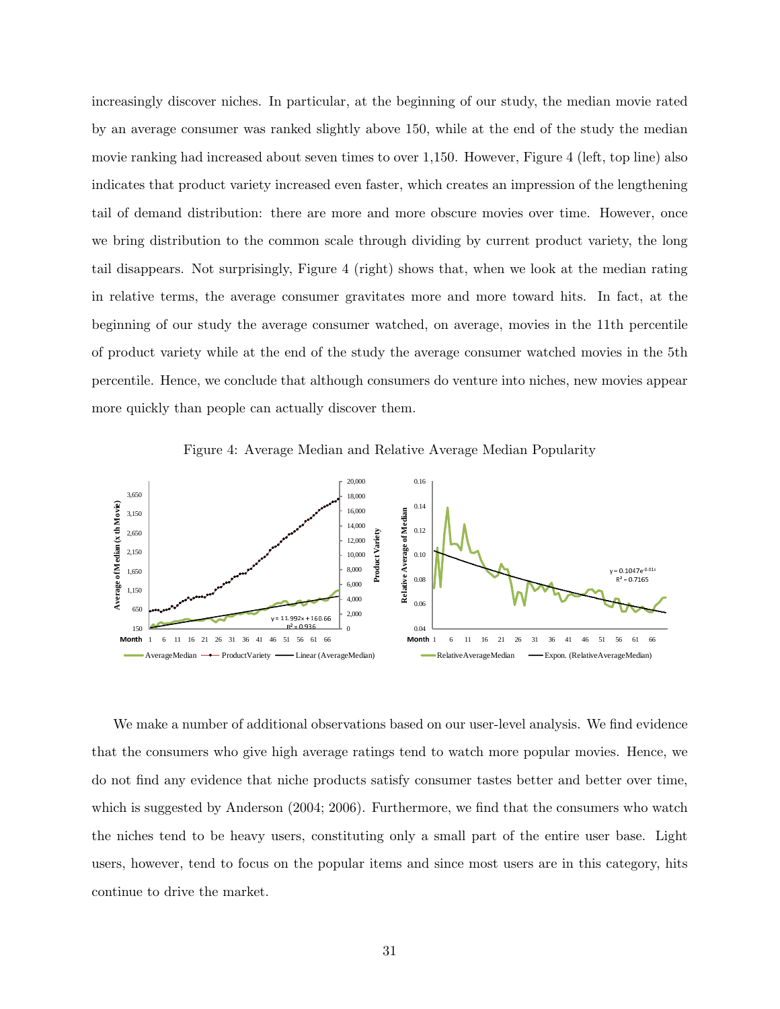increasingly discover niches. In particular, at the beginning of our study, the median movie rated by an average consumer was ranked slightly above 150, while at the end of the study the median movie ranking had increased about seven times to over 1,150. However, Figure 4 (left, top line) also indicates that product variety increased even faster, which creates an impression of the lengthening tail of demand distribution: there are more and more obscure movies over time. However, once we bring distribution to the common scale through dividing by current product variety, the long tail disappears. Not surprisingly, Figure 4 (right) shows that, when we look at the median rating in relative terms, the average consumer gravitates more and more toward hits. In fact, at the beginning of our study the average consumer watched, on average, movies in the 11th percentile of product variety while at the end of the study the average consumer watched movies in the 5th percentile. Hence, we conclude that although consumers do venture into niches, new movies appear more quickly than people can actually discover them.





We make a number of additional observations based on our user-level analysis. We find evidence that the consumers who give high average ratings tend to watch more popular movies. Hence, we do not find any evidence that niche products satisfy consumer tastes better and better over time, which is suggested by Anderson (2004; 2006). Furthermore, we find that the consumers who watch the niches tend to be heavy users, constituting only a small part of the entire user base. Light users, however, tend to focus on the popular items and since most users are in this category, hits continue to drive the market.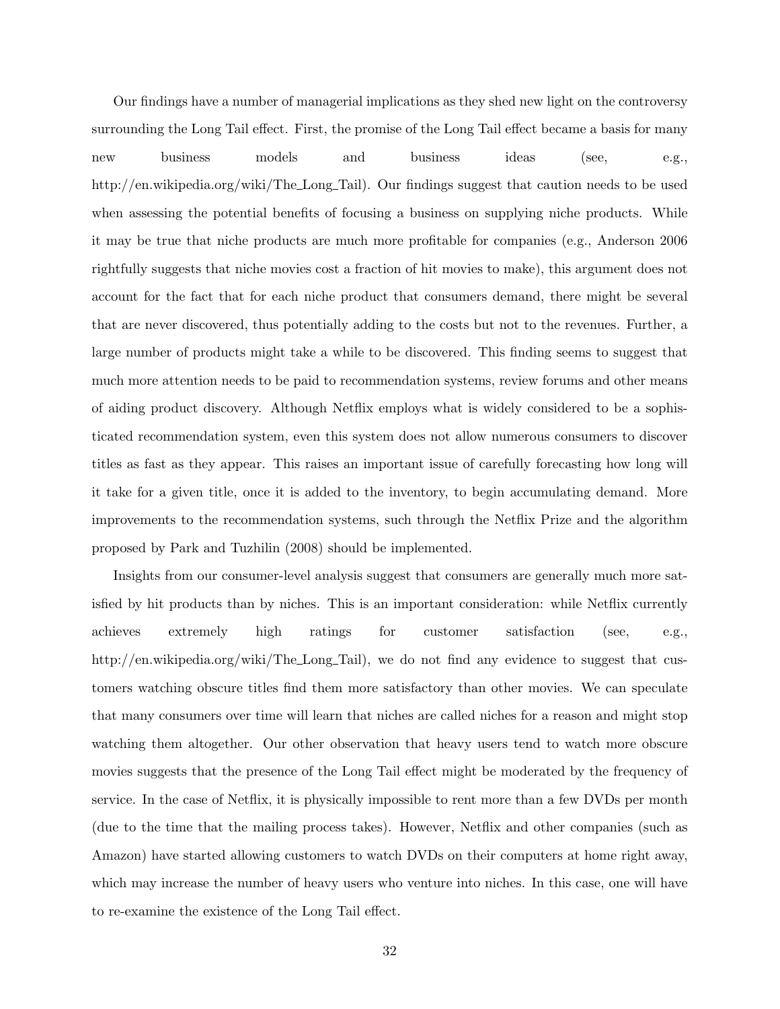Our findings have a number of managerial implications as they shed new light on the controversy surrounding the Long Tail effect. First, the promise of the Long Tail effect became a basis for many new business models and business ideas (see, e.g., http://en.wikipedia.org/wiki/The Long Tail). Our findings suggest that caution needs to be used when assessing the potential benefits of focusing a business on supplying niche products. While it may be true that niche products are much more profitable for companies (e.g., Anderson 2006 rightfully suggests that niche movies cost a fraction of hit movies to make), this argument does not account for the fact that for each niche product that consumers demand, there might be several that are never discovered, thus potentially adding to the costs but not to the revenues. Further, a large number of products might take a while to be discovered. This finding seems to suggest that much more attention needs to be paid to recommendation systems, review forums and other means of aiding product discovery. Although Netflix employs what is widely considered to be a sophisticated recommendation system, even this system does not allow numerous consumers to discover titles as fast as they appear. This raises an important issue of carefully forecasting how long will it take for a given title, once it is added to the inventory, to begin accumulating demand. More improvements to the recommendation systems, such through the Netflix Prize and the algorithm proposed by Park and Tuzhilin (2008) should be implemented.

Insights from our consumer-level analysis suggest that consumers are generally much more satisfied by hit products than by niches. This is an important consideration: while Netflix currently achieves extremely high ratings for customer satisfaction (see, e.g., http://en.wikipedia.org/wiki/The Long Tail), we do not find any evidence to suggest that customers watching obscure titles find them more satisfactory than other movies. We can speculate that many consumers over time will learn that niches are called niches for a reason and might stop watching them altogether. Our other observation that heavy users tend to watch more obscure movies suggests that the presence of the Long Tail effect might be moderated by the frequency of service. In the case of Netflix, it is physically impossible to rent more than a few DVDs per month (due to the time that the mailing process takes). However, Netflix and other companies (such as Amazon) have started allowing customers to watch DVDs on their computers at home right away, which may increase the number of heavy users who venture into niches. In this case, one will have to re-examine the existence of the Long Tail effect.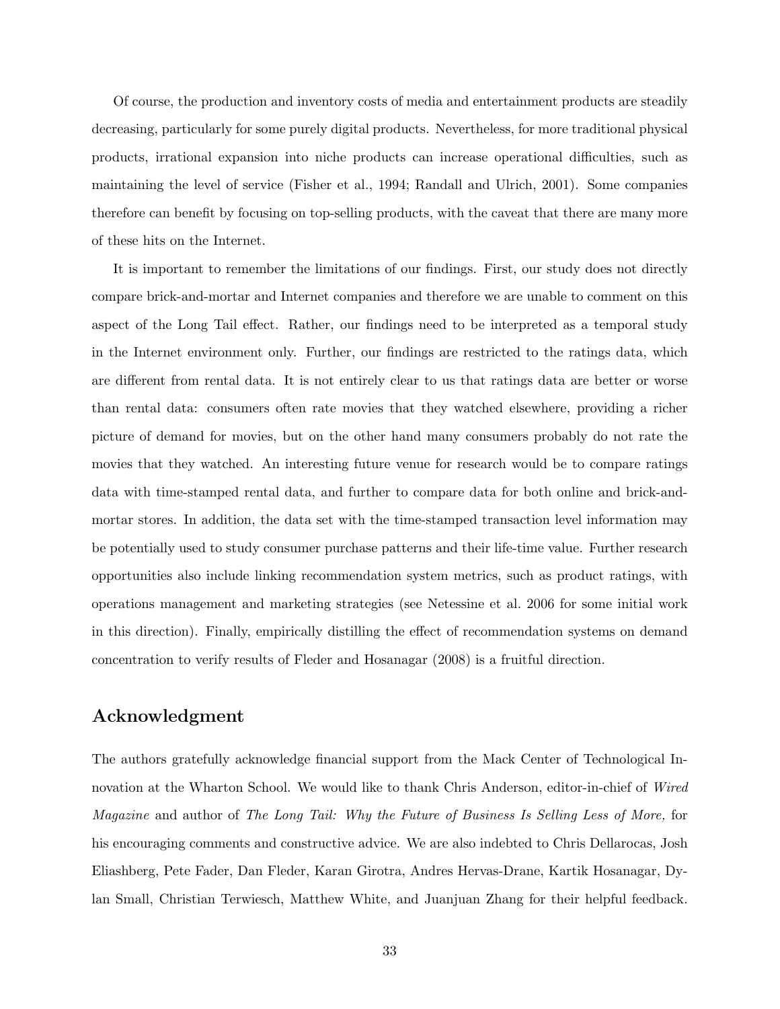Of course, the production and inventory costs of media and entertainment products are steadily decreasing, particularly for some purely digital products. Nevertheless, for more traditional physical products, irrational expansion into niche products can increase operational difficulties, such as maintaining the level of service (Fisher et al., 1994; Randall and Ulrich, 2001). Some companies therefore can benefit by focusing on top-selling products, with the caveat that there are many more of these hits on the Internet.

It is important to remember the limitations of our findings. First, our study does not directly compare brick-and-mortar and Internet companies and therefore we are unable to comment on this aspect of the Long Tail effect. Rather, our findings need to be interpreted as a temporal study in the Internet environment only. Further, our findings are restricted to the ratings data, which are different from rental data. It is not entirely clear to us that ratings data are better or worse than rental data: consumers often rate movies that they watched elsewhere, providing a richer picture of demand for movies, but on the other hand many consumers probably do not rate the movies that they watched. An interesting future venue for research would be to compare ratings data with time-stamped rental data, and further to compare data for both online and brick-andmortar stores. In addition, the data set with the time-stamped transaction level information may be potentially used to study consumer purchase patterns and their life-time value. Further research opportunities also include linking recommendation system metrics, such as product ratings, with operations management and marketing strategies (see Netessine et al. 2006 for some initial work in this direction). Finally, empirically distilling the effect of recommendation systems on demand concentration to verify results of Fleder and Hosanagar (2008) is a fruitful direction.

## Acknowledgment

The authors gratefully acknowledge financial support from the Mack Center of Technological Innovation at the Wharton School. We would like to thank Chris Anderson, editor-in-chief of Wired Magazine and author of The Long Tail: Why the Future of Business Is Selling Less of More, for his encouraging comments and constructive advice. We are also indebted to Chris Dellarocas, Josh Eliashberg, Pete Fader, Dan Fleder, Karan Girotra, Andres Hervas-Drane, Kartik Hosanagar, Dylan Small, Christian Terwiesch, Matthew White, and Juanjuan Zhang for their helpful feedback.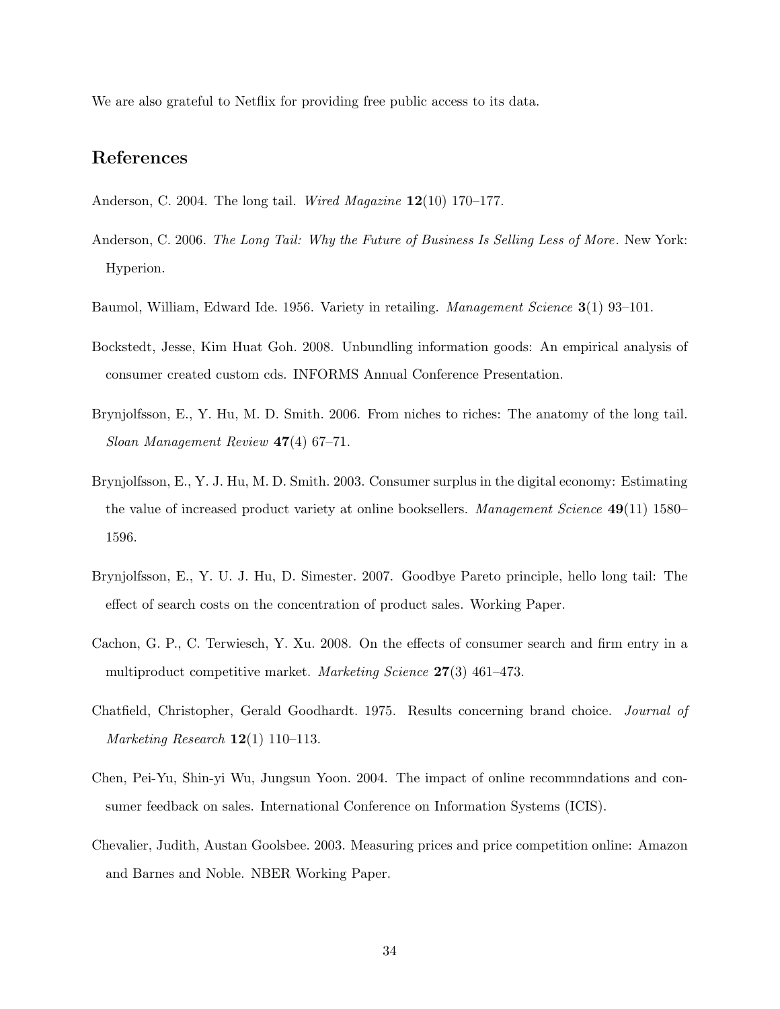We are also grateful to Netflix for providing free public access to its data.

## References

- Anderson, C. 2004. The long tail. Wired Magazine  $12(10)$  170–177.
- Anderson, C. 2006. The Long Tail: Why the Future of Business Is Selling Less of More. New York: Hyperion.
- Baumol, William, Edward Ide. 1956. Variety in retailing. Management Science 3(1) 93–101.
- Bockstedt, Jesse, Kim Huat Goh. 2008. Unbundling information goods: An empirical analysis of consumer created custom cds. INFORMS Annual Conference Presentation.
- Brynjolfsson, E., Y. Hu, M. D. Smith. 2006. From niches to riches: The anatomy of the long tail. Sloan Management Review 47(4) 67–71.
- Brynjolfsson, E., Y. J. Hu, M. D. Smith. 2003. Consumer surplus in the digital economy: Estimating the value of increased product variety at online booksellers. Management Science 49(11) 1580– 1596.
- Brynjolfsson, E., Y. U. J. Hu, D. Simester. 2007. Goodbye Pareto principle, hello long tail: The effect of search costs on the concentration of product sales. Working Paper.
- Cachon, G. P., C. Terwiesch, Y. Xu. 2008. On the effects of consumer search and firm entry in a multiproduct competitive market. Marketing Science 27(3) 461–473.
- Chatfield, Christopher, Gerald Goodhardt. 1975. Results concerning brand choice. Journal of Marketing Research  $12(1)$  110–113.
- Chen, Pei-Yu, Shin-yi Wu, Jungsun Yoon. 2004. The impact of online recommndations and consumer feedback on sales. International Conference on Information Systems (ICIS).
- Chevalier, Judith, Austan Goolsbee. 2003. Measuring prices and price competition online: Amazon and Barnes and Noble. NBER Working Paper.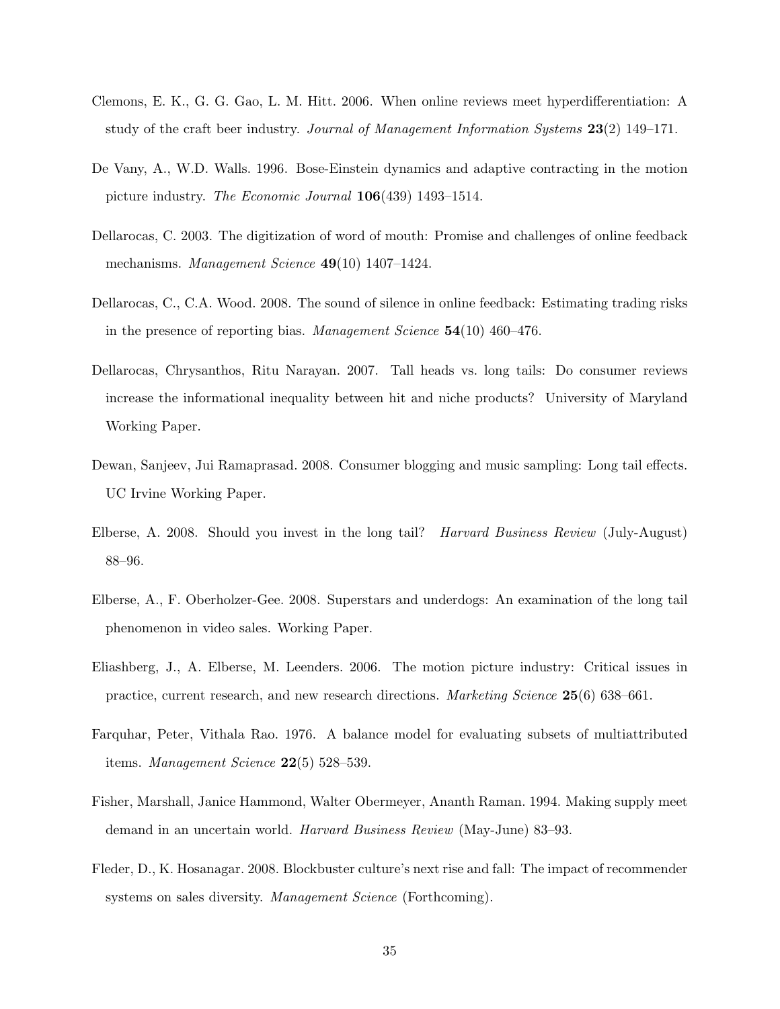- Clemons, E. K., G. G. Gao, L. M. Hitt. 2006. When online reviews meet hyperdifferentiation: A study of the craft beer industry. Journal of Management Information Systems 23(2) 149–171.
- De Vany, A., W.D. Walls. 1996. Bose-Einstein dynamics and adaptive contracting in the motion picture industry. The Economic Journal 106(439) 1493–1514.
- Dellarocas, C. 2003. The digitization of word of mouth: Promise and challenges of online feedback mechanisms. *Management Science* **49**(10) 1407–1424.
- Dellarocas, C., C.A. Wood. 2008. The sound of silence in online feedback: Estimating trading risks in the presence of reporting bias. Management Science 54(10) 460–476.
- Dellarocas, Chrysanthos, Ritu Narayan. 2007. Tall heads vs. long tails: Do consumer reviews increase the informational inequality between hit and niche products? University of Maryland Working Paper.
- Dewan, Sanjeev, Jui Ramaprasad. 2008. Consumer blogging and music sampling: Long tail effects. UC Irvine Working Paper.
- Elberse, A. 2008. Should you invest in the long tail? Harvard Business Review (July-August) 88–96.
- Elberse, A., F. Oberholzer-Gee. 2008. Superstars and underdogs: An examination of the long tail phenomenon in video sales. Working Paper.
- Eliashberg, J., A. Elberse, M. Leenders. 2006. The motion picture industry: Critical issues in practice, current research, and new research directions. Marketing Science 25(6) 638–661.
- Farquhar, Peter, Vithala Rao. 1976. A balance model for evaluating subsets of multiattributed items. Management Science 22(5) 528–539.
- Fisher, Marshall, Janice Hammond, Walter Obermeyer, Ananth Raman. 1994. Making supply meet demand in an uncertain world. Harvard Business Review (May-June) 83–93.
- Fleder, D., K. Hosanagar. 2008. Blockbuster culture's next rise and fall: The impact of recommender systems on sales diversity. *Management Science* (Forthcoming).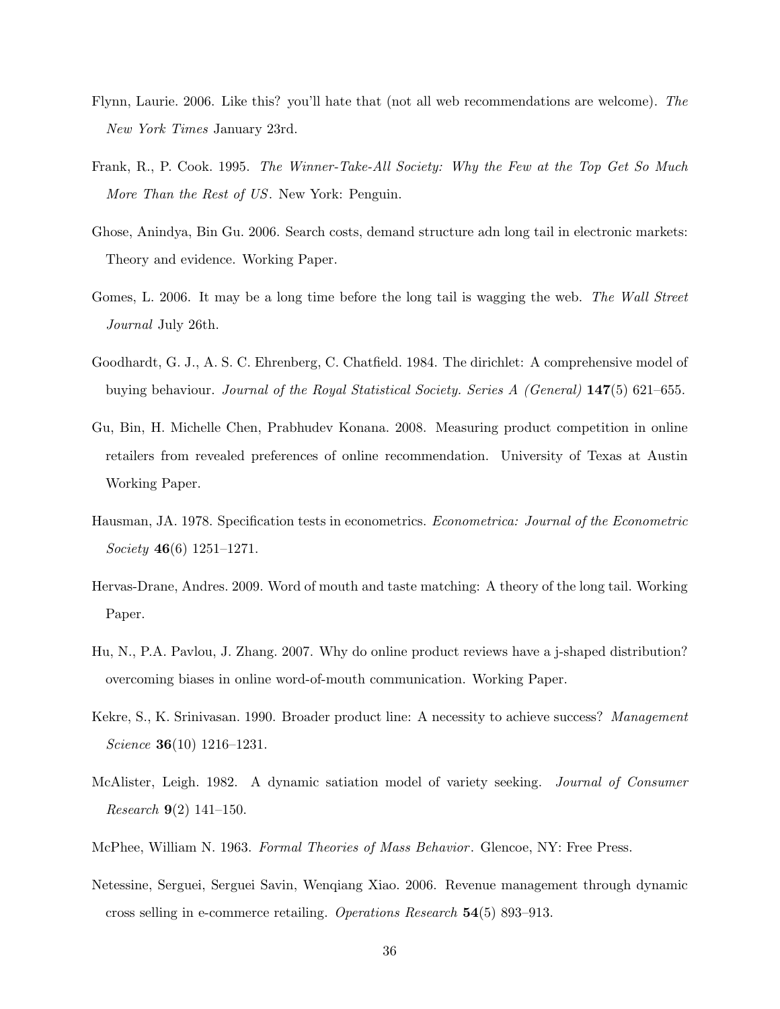- Flynn, Laurie. 2006. Like this? you'll hate that (not all web recommendations are welcome). The New York Times January 23rd.
- Frank, R., P. Cook. 1995. The Winner-Take-All Society: Why the Few at the Top Get So Much More Than the Rest of US. New York: Penguin.
- Ghose, Anindya, Bin Gu. 2006. Search costs, demand structure adn long tail in electronic markets: Theory and evidence. Working Paper.
- Gomes, L. 2006. It may be a long time before the long tail is wagging the web. The Wall Street Journal July 26th.
- Goodhardt, G. J., A. S. C. Ehrenberg, C. Chatfield. 1984. The dirichlet: A comprehensive model of buying behaviour. Journal of the Royal Statistical Society. Series A (General) 147(5) 621–655.
- Gu, Bin, H. Michelle Chen, Prabhudev Konana. 2008. Measuring product competition in online retailers from revealed preferences of online recommendation. University of Texas at Austin Working Paper.
- Hausman, JA. 1978. Specification tests in econometrics. Econometrica: Journal of the Econometric Society 46(6) 1251–1271.
- Hervas-Drane, Andres. 2009. Word of mouth and taste matching: A theory of the long tail. Working Paper.
- Hu, N., P.A. Pavlou, J. Zhang. 2007. Why do online product reviews have a j-shaped distribution? overcoming biases in online word-of-mouth communication. Working Paper.
- Kekre, S., K. Srinivasan. 1990. Broader product line: A necessity to achieve success? Management Science **36**(10) 1216-1231.
- McAlister, Leigh. 1982. A dynamic satiation model of variety seeking. Journal of Consumer *Research* **9**(2) 141–150.
- McPhee, William N. 1963. Formal Theories of Mass Behavior . Glencoe, NY: Free Press.
- Netessine, Serguei, Serguei Savin, Wenqiang Xiao. 2006. Revenue management through dynamic cross selling in e-commerce retailing. Operations Research 54(5) 893–913.